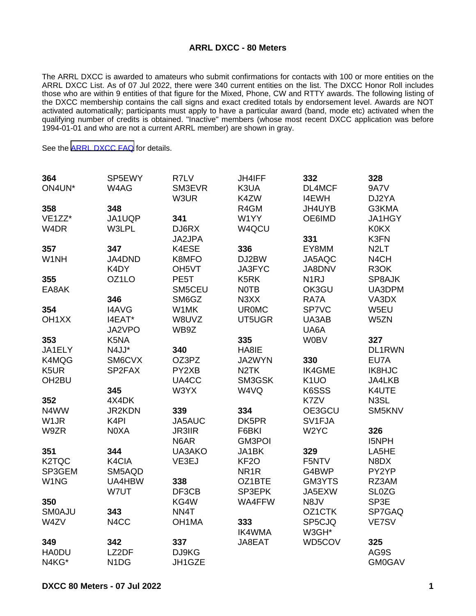## **ARRL DXCC - 80 Meters**

The ARRL DXCC is awarded to amateurs who submit confirmations for contacts with 100 or more entities on the ARRL DXCC List. As of 07 Jul 2022, there were 340 current entities on the list. The DXCC Honor Roll includes those who are within 9 entities of that figure for the Mixed, Phone, CW and RTTY awards. The following listing of the DXCC membership contains the call signs and exact credited totals by endorsement level. Awards are NOT activated automatically; participants must apply to have a particular award (band, mode etc) activated when the qualifying number of credits is obtained. "Inactive" members (whose most recent DXCC application was before 1994-01-01 and who are not a current ARRL member) are shown in gray.

See the [ARRL DXCC FAQ](http://www.arrl.org/dxcc-faq/) for details.

| 364                 | SP5EWY                        | R7LV               | <b>JH4IFF</b>     | 332               | 328               |
|---------------------|-------------------------------|--------------------|-------------------|-------------------|-------------------|
| ON4UN*              | W4AG                          | SM3EVR             | K3UA              | DL4MCF            | <b>9A7V</b>       |
|                     |                               | W3UR               | K4ZW              | <b>I4EWH</b>      | DJ2YA             |
| 358                 | 348                           |                    | R4GM              | JH4UYB            | G3KMA             |
| VE <sub>1</sub> ZZ* | JA1UQP                        | 341                | W1YY              | OE6IMD            | JA1HGY            |
| W4DR                | W3LPL                         | DJ6RX              | W4QCU             |                   | <b>K0KX</b>       |
|                     |                               | JA2JPA             |                   | 331               | K3FN              |
| 357                 | 347                           | K4ESE              | 336               | EY8MM             | N <sub>2</sub> LT |
| W1NH                | JA4DND                        | K8MFO              | DJ2BW             | JA5AQC            | N4CH              |
|                     | K4DY                          | OH <sub>5</sub> VT | JA3FYC            | <b>JA8DNV</b>     | R <sub>3</sub> OK |
| 355                 | OZ1LO                         | PE5T               | K5RK              | N <sub>1</sub> RJ | SP8AJK            |
| EA8AK               |                               | SM5CEU             | <b>NOTB</b>       | OK3GU             | UA3DPM            |
|                     | 346                           | SM6GZ              | N3XX              | RA7A              | VA3DX             |
| 354                 | <b>I4AVG</b>                  | W1MK               | <b>UR0MC</b>      | SP7VC             | W5EU              |
| OH <sub>1</sub> XX  | I4EAT*                        | W8UVZ              | UT5UGR            | UA3AB             | W5ZN              |
|                     | JA2VPO                        | WB9Z               |                   | UA6A              |                   |
| 353                 | K5NA                          |                    | 335               | <b>W0BV</b>       | 327               |
| JA1ELY              | N4JJ*                         | 340                | HA8IE             |                   | DL1RWN            |
| K4MQG               | SM6CVX                        | OZ3PZ              | JA2WYN            | 330               | EU7A              |
| K5UR                | SP2FAX                        | PY2XB              | N <sub>2</sub> TK | <b>IK4GME</b>     | IK8HJC            |
| OH <sub>2</sub> BU  |                               | UA4CC              | SM3GSK            | K <sub>1</sub> UO | JA4LKB            |
|                     | 345                           | W3YX               | W4VQ              | K6SSS             | K4UTE             |
| 352                 | 4X4DK                         |                    |                   | K7ZV              | N3SL              |
| N4WW                | JR2KDN                        | 339                | 334               | OE3GCU            | SM5KNV            |
| W <sub>1</sub> JR   | K <sub>4</sub> PI             | JA5AUC             | DK5PR             | SV1FJA            |                   |
| W9ZR                | N0XA                          | <b>JR3IIR</b>      | F6BKI             | W <sub>2</sub> YC | 326               |
|                     |                               | N6AR               | <b>GM3POI</b>     |                   | I5NPH             |
| 351                 | 344                           | UA3AKO             | JA1BK             | 329               | LA5HE             |
| K <sub>2</sub> TQC  | K4CIA                         | VE3EJ              | KF <sub>2</sub> O | F5NTV             | N8DX              |
| SP3GEM              | SM5AQD                        |                    | NR <sub>1</sub> R | G4BWP             | PY2YP             |
| W1NG                | UA4HBW                        | 338                | OZ1BTE            | GM3YTS            | RZ3AM             |
|                     | W7UT                          | DF3CB              | SP3EPK            | JA5EXW            | <b>SL0ZG</b>      |
| 350                 |                               | KG4W               | WA4FFW            | N8JV              | SP3E              |
| <b>SMOAJU</b>       | 343                           | NN4T               |                   | OZ1CTK            | SP7GAQ            |
| W4ZV                | N4CC                          | OH1MA              | 333               | SP5CJQ            | VE7SV             |
|                     |                               |                    | <b>IK4WMA</b>     | W3GH*             |                   |
| 349                 | 342                           | 337                | JA8EAT            | WD5COV            | 325               |
| <b>HA0DU</b>        | LZ2DF                         | DJ9KG              |                   |                   | AG9S              |
| N4KG*               | N <sub>1</sub> D <sub>G</sub> | JH1GZE             |                   |                   | <b>GM0GAV</b>     |
|                     |                               |                    |                   |                   |                   |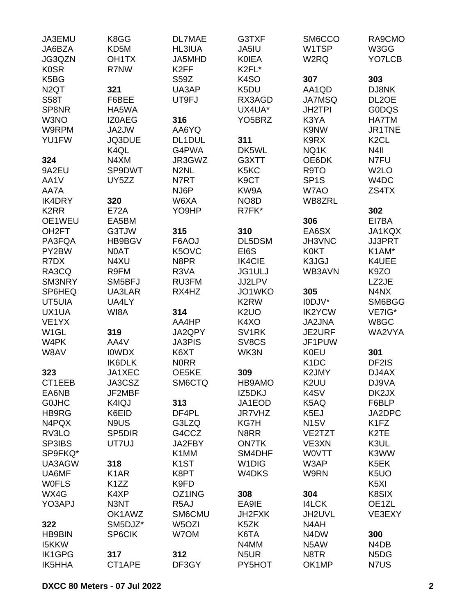| JA3EMU<br>JA6BZA   | K8GG<br>KD5M        | <b>DL7MAE</b><br><b>HL3IUA</b> | G3TXF<br>JA5IU      | SM6CCO<br>W1TSP               | RA9CMO<br>W3GG                |
|--------------------|---------------------|--------------------------------|---------------------|-------------------------------|-------------------------------|
| JG3QZN             | OH <sub>1</sub> TX  | JA5MHD                         | <b>KOIEA</b>        | W2RQ                          | YO7LCB                        |
| <b>K0SR</b>        | R7NW                | K <sub>2FF</sub>               | K2FL*               |                               |                               |
| K5BG               |                     | <b>S59Z</b>                    | K <sub>4</sub> SO   | 307                           | 303                           |
| N <sub>2</sub> QT  | 321                 | UA3AP                          | K5DU                | AA1QD                         | DJ8NK                         |
| <b>S58T</b>        | F6BEE               | UT9FJ                          | RX3AGD              | <b>JA7MSQ</b>                 | DL2OE                         |
| SP8NR              | HA5WA               |                                | UX4UA*              | <b>JH2TPI</b>                 | <b>GODQS</b>                  |
| W3NO               |                     | 316                            | YO <sub>5</sub> BRZ | K3YA                          |                               |
|                    | <b>IZOAEG</b>       |                                |                     |                               | <b>HA7TM</b>                  |
| W9RPM              | JA2JW               | AA6YQ                          |                     | K9NW                          | JR1TNE                        |
| YU1FW              | JQ3DUE              | DL1DUL                         | 311                 | K9RX                          | K <sub>2</sub> CL             |
|                    | K4QL                | G4PWA                          | DK5WL               | NQ1K                          | N <sub>4</sub> II             |
| 324                | N4XM                | JR3GWZ                         | G3XTT               | OE6DK                         | N7FU                          |
| 9A2EU              | SP9DWT              | N <sub>2</sub> NL              | K5KC                | R9TO                          | W <sub>2</sub> LO             |
| AA1V               | UY5ZZ               | N7RT                           | K <sub>9</sub> CT   | SP <sub>1</sub> S             | W <sub>4</sub> DC             |
| AA7A               |                     | NJ6P                           | KW9A                | W7AO                          | ZS4TX                         |
| <b>IK4DRY</b>      | 320                 | W6XA                           | NO <sub>8</sub> D   | WB8ZRL                        |                               |
| K <sub>2</sub> RR  | <b>E72A</b>         | YO9HP                          | R7FK*               |                               | 302                           |
| OE1WEU             | EA5BM               |                                |                     | 306                           | EI7BA                         |
| OH <sub>2</sub> FT | G3TJW               | 315                            | 310                 | EA6SX                         | JA1KQX                        |
| PA3FQA             | HB9BGV              | F6AOJ                          | DL5DSM              | JH3VNC                        | <b>JJ3PRT</b>                 |
| PY2BW              | N0AT                | K5OVC                          | EI6S                | <b>K0KT</b>                   | K1AM*                         |
| R7DX               | N4XU                | N8PR                           | <b>IK4CIE</b>       | K3JGJ                         | K4UEE                         |
| RA3CQ              | R9FM                | R3VA                           | JG1ULJ              | WB3AVN                        | K9ZO                          |
| SM3NRY             | SM5BFJ              | RU3FM                          | JJ2LPV              |                               | LZ2JE                         |
| SP6HEQ             | UA3LAR              | RX4HZ                          | JO1WKO              | 305                           | N4NX                          |
| UT5UIA             | UA4LY               |                                | K <sub>2</sub> RW   | I0DJV*                        | SM6BGG                        |
| UX1UA              | WI8A                | 314                            | K <sub>2</sub> UO   | <b>IK2YCW</b>                 | VE7IG*                        |
| VE1YX              |                     | AA4HP                          | K4XO                | JA2JNA                        | W8GC                          |
| W <sub>1</sub> GL  | 319                 | JA2QPY                         | SV <sub>1</sub> RK  | JE2URF                        | WA2VYA                        |
| W4PK               | AA4V                | <b>JA3PIS</b>                  | SV8CS               | JF1PUW                        |                               |
| W8AV               | <b>IOWDX</b>        | K6XT                           | WK3N                | <b>K0EU</b>                   | 301                           |
|                    | IK6DLK              | <b>NORR</b>                    |                     | K <sub>1</sub> DC             | DF2IS                         |
| 323                | JA1XEC              | OE5KE                          | 309                 | K2JMY                         | DJ4AX                         |
| CT1EEB             | JA3CSZ              | SM6CTQ                         | HB9AMO              | K2UU                          | DJ9VA                         |
| EA6NB              | JF2MBF              |                                | IZ5DKJ              | K <sub>4</sub> SV             | DK2JX                         |
|                    | K4IQJ               |                                |                     |                               |                               |
| <b>GOJHC</b>       |                     | 313                            | JA1EOD              | K5AQ                          | F6BLP                         |
| HB9RG              | K6EID               | DF4PL                          | JR7VHZ              | K5EJ                          | JA2DPC                        |
| N4PQX              | N9US                | G3LZQ                          | <b>KG7H</b>         | N <sub>1</sub> SV             | K <sub>1</sub> FZ             |
| RV3LO              | SP <sub>5</sub> DIR | G4CCZ                          | N8RR                | VE2TZT                        | K <sub>2</sub> TE             |
| <b>SP3IBS</b>      | UT7UJ               | JA2FBY                         | <b>ON7TK</b>        | VE3XN                         | K3UL                          |
| SP9FKQ*            |                     | K1MM                           | SM4DHF              | <b>WOVTT</b>                  | K3WW                          |
| UA3AGW             | 318                 | K <sub>1</sub> ST              | W <sub>1</sub> DIG  | W3AP                          | K5EK                          |
| UA6MF              | K <sub>1</sub> AR   | K8PT                           | W4DKS               | W9RN                          | K <sub>5</sub> U <sub>O</sub> |
| <b>WOFLS</b>       | K1ZZ                | K9FD                           |                     |                               | K <sub>5</sub> XI             |
| WX4G               | K4XP                | OZ1ING                         | 308                 | 304                           | K8SIX                         |
| YO3APJ             | N3NT                | R <sub>5</sub> AJ              | EA9IE               | <b>I4LCK</b>                  | OE1ZL                         |
|                    | OK1AWZ              | SM6CMU                         | JH2FXK              | JH2UVL                        | VE3EXY                        |
| 322                | SM5DJZ*             | W5OZI                          | K5ZK                | N4AH                          |                               |
| <b>HB9BIN</b>      | <b>SP6CIK</b>       | W7OM                           | K6TA                | N <sub>4</sub> D <sub>W</sub> | 300                           |
| <b>I5KKW</b>       |                     |                                | N4MM                | N <sub>5</sub> AW             | N <sub>4</sub> D <sub>B</sub> |
| <b>IK1GPG</b>      | 317                 | 312                            | N <sub>5</sub> UR   | N8TR                          | N <sub>5</sub> D <sub>G</sub> |
| <b>IK5HHA</b>      | CT1APE              | DF3GY                          | PY5HOT              | OK1MP                         | N7US                          |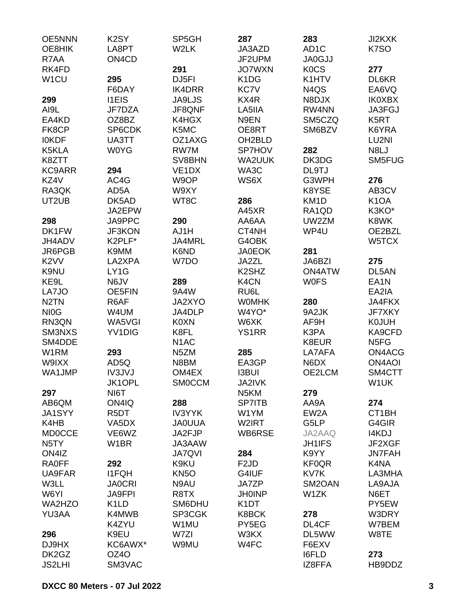| OE8HIK<br>LA8PT<br>W2LK<br>JA3AZD<br>AD <sub>1</sub> C<br>K7SO<br>R7AA<br>ON <sub>4</sub> C <sub>D</sub><br>JF2UPM<br><b>JA0GJJ</b><br>291<br><b>JO7WXN</b><br><b>KOCS</b><br>RK4FD<br>277<br>W <sub>1</sub> CU<br>DJ5FI<br>K <sub>1</sub> D <sub>G</sub><br>295<br>K1HTV<br>DL6KR<br><b>KC7V</b><br>F6DAY<br><b>IK4DRR</b><br>N4QS<br>EA6VQ<br>KX4R<br>299<br><b>I1EIS</b><br><b>JA9LJS</b><br>N8DJX<br><b>IK0XBX</b><br>AI9L<br>JF8QNF<br>RW4NN<br>JA3FGJ<br>JF7DZA<br>LA5IIA<br>EA4KD<br>OZ8BZ<br>K4HGX<br>N9EN<br>SM5CZQ<br>K <sub>5</sub> RT<br>SP6CDK<br>K5MC<br>FK8CP<br>OE8RT<br>SM6BZV<br>K6YRA<br>OZ1AXG<br>OH2BLD<br>LU2NI<br><b>IOKDF</b><br>UA3TT<br><b>W0YG</b><br>RW7M<br>SP7HOV<br>N8LJ<br>K5KLA<br>282<br>DK3DG<br>SM5FUG<br>K8ZTT<br>SV8BHN<br><b>WA2UUK</b><br><b>KC9ARR</b><br>294<br>VE <sub>1</sub> D <sub>X</sub><br>WA3C<br>DL9TJ<br>KZ4V<br>AC4G<br>W9OP<br>WS6X<br>276<br>G3WPH<br>RA3QK<br>AD <sub>5</sub> A<br>W9XY<br>K8YSE<br>AB3CV<br>286<br>UT2UB<br>DK5AD<br>WT8C<br>KM <sub>1</sub> D<br>K <sub>1</sub> OA<br>K3KO*<br>JA2EPW<br>A45XR<br>RA1QD<br>JA9PPC<br>290<br>298<br>AA6AA<br>UW2ZM<br>K8WK<br>DK1FW<br>AJ1H<br>CT4NH<br>WP4U<br>OE2BZL<br><b>JF3KON</b><br>G4OBK<br>JH4ADV<br>K2PLF*<br>JA4MRL<br>W5TCX<br>K6ND<br><b>JA0EOK</b><br>281<br>JR6PGB<br>K9MM<br>K <sub>2</sub> VV<br>LA2XPA<br>W7DO<br>JA2ZL<br>JA6BZI<br>275<br>K <sub>2</sub> SH <sub>Z</sub><br>DL5AN<br>K9NU<br>LY1G<br><b>ON4ATW</b><br>KE9L<br>289<br>K4CN<br>N6JV<br><b>WOFS</b><br>EA <sub>1</sub> N<br>LA7JO<br>9A4W<br>RU6L<br>OE5FIN<br>EA2IA<br>N <sub>2</sub> TN<br>R6AF<br>JA2XYO<br><b>WOMHK</b><br>280<br><b>JA4FKX</b><br>NI <sub>0</sub> G<br>JA4DLP<br>W4YO*<br>9A2JK<br>JF7XKY<br>W4UM<br>RN3QN<br>WA5VGI<br><b>K0XN</b><br>W6XK<br>AF9H<br><b>K0JUH</b><br>SM3NXS<br>YV1DIG<br>K8FL<br><b>YS1RR</b><br>K3PA<br>KA9CFD<br>SM4DDE<br>N <sub>1</sub> AC<br>K8EUR<br>N <sub>5FG</sub><br>ON4ACG<br>W1RM<br>293<br>N <sub>5</sub> ZM<br>285<br>LA7AFA<br>W9IXX<br>AD5Q<br>N8BM<br>EA3GP<br>N6DX<br><b>ON4AOI</b><br><b>I3BUI</b><br>WA1JMP<br>IV3JVJ<br>OM4EX<br>OE2LCM<br>SM4CTT<br>JK1OPL<br><b>SMOCCM</b><br>JA2IVK<br>W1UK<br>297<br>NI6T<br>N <sub>5</sub> KM<br>279<br>288<br>274<br>AB6QM<br>ON4IQ<br><b>SP7ITB</b><br>AA9A<br><b>IV3YYK</b><br>CT1BH<br>JA1SYY<br>R5DT<br>W1YM<br>EW <sub>2</sub> A<br>K4HB<br>W2IRT<br>G5LP<br>G4GIR<br>VA5DX<br><b>JAOUUA</b><br>I4KDJ<br><b>MD0CCE</b><br>VE6WZ<br>JA2FJP<br>WB6RSE<br>JA2AAQ<br>N <sub>5</sub> TY<br>W <sub>1</sub> BR<br>JA3AAW<br><b>JH1IFS</b><br>JF2XGF<br>ON4IZ<br><b>JA7QVI</b><br>284<br>K9YY<br><b>JN7FAH</b><br><b>RA0FF</b><br>292<br>K9KU<br>F <sub>2</sub> JD<br><b>KF0QR</b><br>K4NA<br><b>I1FQH</b><br>UA9FAR<br>KN <sub>50</sub><br>G4IUF<br>KV7K<br>LA3MHA<br>W3LL<br>N9AU<br>JA7ZP<br>SM <sub>2</sub> OAN<br><b>JA0CRI</b><br>LA9AJA<br>W6YI<br><b>JA9FPI</b><br><b>JH0INP</b><br>W1ZK<br>N6ET<br>R8TX<br>K <sub>1</sub> LD<br>K <sub>1</sub> DT<br>WA2HZO<br>SM6DHU<br>PY5EW<br>SP3CGK<br>YU3AA<br>K4MWB<br>K8BCK<br>278<br>W3DRY<br>K4ZYU<br>W1MU<br>PY5EG<br>DL4CF<br>W7BEM<br>296<br>K9EU<br>W7ZI<br>W3KX<br>DL5WW<br>W8TE<br>DJ9HX<br>W9MU<br>W4FC<br>KC6AWX*<br>F6EXV<br>DK2GZ<br>OZ4O<br><b>I6FLD</b><br>273<br><b>JS2LHI</b><br>SM3VAC<br>IZ8FFA<br>HB9DDZ | OE5NNN | K <sub>2</sub> SY | SP5GH | 287 | 283 | JI2KXK |
|-----------------------------------------------------------------------------------------------------------------------------------------------------------------------------------------------------------------------------------------------------------------------------------------------------------------------------------------------------------------------------------------------------------------------------------------------------------------------------------------------------------------------------------------------------------------------------------------------------------------------------------------------------------------------------------------------------------------------------------------------------------------------------------------------------------------------------------------------------------------------------------------------------------------------------------------------------------------------------------------------------------------------------------------------------------------------------------------------------------------------------------------------------------------------------------------------------------------------------------------------------------------------------------------------------------------------------------------------------------------------------------------------------------------------------------------------------------------------------------------------------------------------------------------------------------------------------------------------------------------------------------------------------------------------------------------------------------------------------------------------------------------------------------------------------------------------------------------------------------------------------------------------------------------------------------------------------------------------------------------------------------------------------------------------------------------------------------------------------------------------------------------------------------------------------------------------------------------------------------------------------------------------------------------------------------------------------------------------------------------------------------------------------------------------------------------------------------------------------------------------------------------------------------------------------------------------------------------------------------------------------------------------------------------------------------------------------------------------------------------------------------------------------------------------------------------------------------------------------------------------------------------------------------------------------------------------------------------------------------------------------------------------------------------------------------------------------------------------------------------------------------------------------------------------------------------------------------------------------------------------------------------------|--------|-------------------|-------|-----|-----|--------|
|                                                                                                                                                                                                                                                                                                                                                                                                                                                                                                                                                                                                                                                                                                                                                                                                                                                                                                                                                                                                                                                                                                                                                                                                                                                                                                                                                                                                                                                                                                                                                                                                                                                                                                                                                                                                                                                                                                                                                                                                                                                                                                                                                                                                                                                                                                                                                                                                                                                                                                                                                                                                                                                                                                                                                                                                                                                                                                                                                                                                                                                                                                                                                                                                                                                                       |        |                   |       |     |     |        |
|                                                                                                                                                                                                                                                                                                                                                                                                                                                                                                                                                                                                                                                                                                                                                                                                                                                                                                                                                                                                                                                                                                                                                                                                                                                                                                                                                                                                                                                                                                                                                                                                                                                                                                                                                                                                                                                                                                                                                                                                                                                                                                                                                                                                                                                                                                                                                                                                                                                                                                                                                                                                                                                                                                                                                                                                                                                                                                                                                                                                                                                                                                                                                                                                                                                                       |        |                   |       |     |     |        |
|                                                                                                                                                                                                                                                                                                                                                                                                                                                                                                                                                                                                                                                                                                                                                                                                                                                                                                                                                                                                                                                                                                                                                                                                                                                                                                                                                                                                                                                                                                                                                                                                                                                                                                                                                                                                                                                                                                                                                                                                                                                                                                                                                                                                                                                                                                                                                                                                                                                                                                                                                                                                                                                                                                                                                                                                                                                                                                                                                                                                                                                                                                                                                                                                                                                                       |        |                   |       |     |     |        |
|                                                                                                                                                                                                                                                                                                                                                                                                                                                                                                                                                                                                                                                                                                                                                                                                                                                                                                                                                                                                                                                                                                                                                                                                                                                                                                                                                                                                                                                                                                                                                                                                                                                                                                                                                                                                                                                                                                                                                                                                                                                                                                                                                                                                                                                                                                                                                                                                                                                                                                                                                                                                                                                                                                                                                                                                                                                                                                                                                                                                                                                                                                                                                                                                                                                                       |        |                   |       |     |     |        |
|                                                                                                                                                                                                                                                                                                                                                                                                                                                                                                                                                                                                                                                                                                                                                                                                                                                                                                                                                                                                                                                                                                                                                                                                                                                                                                                                                                                                                                                                                                                                                                                                                                                                                                                                                                                                                                                                                                                                                                                                                                                                                                                                                                                                                                                                                                                                                                                                                                                                                                                                                                                                                                                                                                                                                                                                                                                                                                                                                                                                                                                                                                                                                                                                                                                                       |        |                   |       |     |     |        |
|                                                                                                                                                                                                                                                                                                                                                                                                                                                                                                                                                                                                                                                                                                                                                                                                                                                                                                                                                                                                                                                                                                                                                                                                                                                                                                                                                                                                                                                                                                                                                                                                                                                                                                                                                                                                                                                                                                                                                                                                                                                                                                                                                                                                                                                                                                                                                                                                                                                                                                                                                                                                                                                                                                                                                                                                                                                                                                                                                                                                                                                                                                                                                                                                                                                                       |        |                   |       |     |     |        |
|                                                                                                                                                                                                                                                                                                                                                                                                                                                                                                                                                                                                                                                                                                                                                                                                                                                                                                                                                                                                                                                                                                                                                                                                                                                                                                                                                                                                                                                                                                                                                                                                                                                                                                                                                                                                                                                                                                                                                                                                                                                                                                                                                                                                                                                                                                                                                                                                                                                                                                                                                                                                                                                                                                                                                                                                                                                                                                                                                                                                                                                                                                                                                                                                                                                                       |        |                   |       |     |     |        |
|                                                                                                                                                                                                                                                                                                                                                                                                                                                                                                                                                                                                                                                                                                                                                                                                                                                                                                                                                                                                                                                                                                                                                                                                                                                                                                                                                                                                                                                                                                                                                                                                                                                                                                                                                                                                                                                                                                                                                                                                                                                                                                                                                                                                                                                                                                                                                                                                                                                                                                                                                                                                                                                                                                                                                                                                                                                                                                                                                                                                                                                                                                                                                                                                                                                                       |        |                   |       |     |     |        |
|                                                                                                                                                                                                                                                                                                                                                                                                                                                                                                                                                                                                                                                                                                                                                                                                                                                                                                                                                                                                                                                                                                                                                                                                                                                                                                                                                                                                                                                                                                                                                                                                                                                                                                                                                                                                                                                                                                                                                                                                                                                                                                                                                                                                                                                                                                                                                                                                                                                                                                                                                                                                                                                                                                                                                                                                                                                                                                                                                                                                                                                                                                                                                                                                                                                                       |        |                   |       |     |     |        |
|                                                                                                                                                                                                                                                                                                                                                                                                                                                                                                                                                                                                                                                                                                                                                                                                                                                                                                                                                                                                                                                                                                                                                                                                                                                                                                                                                                                                                                                                                                                                                                                                                                                                                                                                                                                                                                                                                                                                                                                                                                                                                                                                                                                                                                                                                                                                                                                                                                                                                                                                                                                                                                                                                                                                                                                                                                                                                                                                                                                                                                                                                                                                                                                                                                                                       |        |                   |       |     |     |        |
|                                                                                                                                                                                                                                                                                                                                                                                                                                                                                                                                                                                                                                                                                                                                                                                                                                                                                                                                                                                                                                                                                                                                                                                                                                                                                                                                                                                                                                                                                                                                                                                                                                                                                                                                                                                                                                                                                                                                                                                                                                                                                                                                                                                                                                                                                                                                                                                                                                                                                                                                                                                                                                                                                                                                                                                                                                                                                                                                                                                                                                                                                                                                                                                                                                                                       |        |                   |       |     |     |        |
|                                                                                                                                                                                                                                                                                                                                                                                                                                                                                                                                                                                                                                                                                                                                                                                                                                                                                                                                                                                                                                                                                                                                                                                                                                                                                                                                                                                                                                                                                                                                                                                                                                                                                                                                                                                                                                                                                                                                                                                                                                                                                                                                                                                                                                                                                                                                                                                                                                                                                                                                                                                                                                                                                                                                                                                                                                                                                                                                                                                                                                                                                                                                                                                                                                                                       |        |                   |       |     |     |        |
|                                                                                                                                                                                                                                                                                                                                                                                                                                                                                                                                                                                                                                                                                                                                                                                                                                                                                                                                                                                                                                                                                                                                                                                                                                                                                                                                                                                                                                                                                                                                                                                                                                                                                                                                                                                                                                                                                                                                                                                                                                                                                                                                                                                                                                                                                                                                                                                                                                                                                                                                                                                                                                                                                                                                                                                                                                                                                                                                                                                                                                                                                                                                                                                                                                                                       |        |                   |       |     |     |        |
|                                                                                                                                                                                                                                                                                                                                                                                                                                                                                                                                                                                                                                                                                                                                                                                                                                                                                                                                                                                                                                                                                                                                                                                                                                                                                                                                                                                                                                                                                                                                                                                                                                                                                                                                                                                                                                                                                                                                                                                                                                                                                                                                                                                                                                                                                                                                                                                                                                                                                                                                                                                                                                                                                                                                                                                                                                                                                                                                                                                                                                                                                                                                                                                                                                                                       |        |                   |       |     |     |        |
|                                                                                                                                                                                                                                                                                                                                                                                                                                                                                                                                                                                                                                                                                                                                                                                                                                                                                                                                                                                                                                                                                                                                                                                                                                                                                                                                                                                                                                                                                                                                                                                                                                                                                                                                                                                                                                                                                                                                                                                                                                                                                                                                                                                                                                                                                                                                                                                                                                                                                                                                                                                                                                                                                                                                                                                                                                                                                                                                                                                                                                                                                                                                                                                                                                                                       |        |                   |       |     |     |        |
|                                                                                                                                                                                                                                                                                                                                                                                                                                                                                                                                                                                                                                                                                                                                                                                                                                                                                                                                                                                                                                                                                                                                                                                                                                                                                                                                                                                                                                                                                                                                                                                                                                                                                                                                                                                                                                                                                                                                                                                                                                                                                                                                                                                                                                                                                                                                                                                                                                                                                                                                                                                                                                                                                                                                                                                                                                                                                                                                                                                                                                                                                                                                                                                                                                                                       |        |                   |       |     |     |        |
|                                                                                                                                                                                                                                                                                                                                                                                                                                                                                                                                                                                                                                                                                                                                                                                                                                                                                                                                                                                                                                                                                                                                                                                                                                                                                                                                                                                                                                                                                                                                                                                                                                                                                                                                                                                                                                                                                                                                                                                                                                                                                                                                                                                                                                                                                                                                                                                                                                                                                                                                                                                                                                                                                                                                                                                                                                                                                                                                                                                                                                                                                                                                                                                                                                                                       |        |                   |       |     |     |        |
|                                                                                                                                                                                                                                                                                                                                                                                                                                                                                                                                                                                                                                                                                                                                                                                                                                                                                                                                                                                                                                                                                                                                                                                                                                                                                                                                                                                                                                                                                                                                                                                                                                                                                                                                                                                                                                                                                                                                                                                                                                                                                                                                                                                                                                                                                                                                                                                                                                                                                                                                                                                                                                                                                                                                                                                                                                                                                                                                                                                                                                                                                                                                                                                                                                                                       |        |                   |       |     |     |        |
|                                                                                                                                                                                                                                                                                                                                                                                                                                                                                                                                                                                                                                                                                                                                                                                                                                                                                                                                                                                                                                                                                                                                                                                                                                                                                                                                                                                                                                                                                                                                                                                                                                                                                                                                                                                                                                                                                                                                                                                                                                                                                                                                                                                                                                                                                                                                                                                                                                                                                                                                                                                                                                                                                                                                                                                                                                                                                                                                                                                                                                                                                                                                                                                                                                                                       |        |                   |       |     |     |        |
|                                                                                                                                                                                                                                                                                                                                                                                                                                                                                                                                                                                                                                                                                                                                                                                                                                                                                                                                                                                                                                                                                                                                                                                                                                                                                                                                                                                                                                                                                                                                                                                                                                                                                                                                                                                                                                                                                                                                                                                                                                                                                                                                                                                                                                                                                                                                                                                                                                                                                                                                                                                                                                                                                                                                                                                                                                                                                                                                                                                                                                                                                                                                                                                                                                                                       |        |                   |       |     |     |        |
|                                                                                                                                                                                                                                                                                                                                                                                                                                                                                                                                                                                                                                                                                                                                                                                                                                                                                                                                                                                                                                                                                                                                                                                                                                                                                                                                                                                                                                                                                                                                                                                                                                                                                                                                                                                                                                                                                                                                                                                                                                                                                                                                                                                                                                                                                                                                                                                                                                                                                                                                                                                                                                                                                                                                                                                                                                                                                                                                                                                                                                                                                                                                                                                                                                                                       |        |                   |       |     |     |        |
|                                                                                                                                                                                                                                                                                                                                                                                                                                                                                                                                                                                                                                                                                                                                                                                                                                                                                                                                                                                                                                                                                                                                                                                                                                                                                                                                                                                                                                                                                                                                                                                                                                                                                                                                                                                                                                                                                                                                                                                                                                                                                                                                                                                                                                                                                                                                                                                                                                                                                                                                                                                                                                                                                                                                                                                                                                                                                                                                                                                                                                                                                                                                                                                                                                                                       |        |                   |       |     |     |        |
|                                                                                                                                                                                                                                                                                                                                                                                                                                                                                                                                                                                                                                                                                                                                                                                                                                                                                                                                                                                                                                                                                                                                                                                                                                                                                                                                                                                                                                                                                                                                                                                                                                                                                                                                                                                                                                                                                                                                                                                                                                                                                                                                                                                                                                                                                                                                                                                                                                                                                                                                                                                                                                                                                                                                                                                                                                                                                                                                                                                                                                                                                                                                                                                                                                                                       |        |                   |       |     |     |        |
|                                                                                                                                                                                                                                                                                                                                                                                                                                                                                                                                                                                                                                                                                                                                                                                                                                                                                                                                                                                                                                                                                                                                                                                                                                                                                                                                                                                                                                                                                                                                                                                                                                                                                                                                                                                                                                                                                                                                                                                                                                                                                                                                                                                                                                                                                                                                                                                                                                                                                                                                                                                                                                                                                                                                                                                                                                                                                                                                                                                                                                                                                                                                                                                                                                                                       |        |                   |       |     |     |        |
|                                                                                                                                                                                                                                                                                                                                                                                                                                                                                                                                                                                                                                                                                                                                                                                                                                                                                                                                                                                                                                                                                                                                                                                                                                                                                                                                                                                                                                                                                                                                                                                                                                                                                                                                                                                                                                                                                                                                                                                                                                                                                                                                                                                                                                                                                                                                                                                                                                                                                                                                                                                                                                                                                                                                                                                                                                                                                                                                                                                                                                                                                                                                                                                                                                                                       |        |                   |       |     |     |        |
|                                                                                                                                                                                                                                                                                                                                                                                                                                                                                                                                                                                                                                                                                                                                                                                                                                                                                                                                                                                                                                                                                                                                                                                                                                                                                                                                                                                                                                                                                                                                                                                                                                                                                                                                                                                                                                                                                                                                                                                                                                                                                                                                                                                                                                                                                                                                                                                                                                                                                                                                                                                                                                                                                                                                                                                                                                                                                                                                                                                                                                                                                                                                                                                                                                                                       |        |                   |       |     |     |        |
|                                                                                                                                                                                                                                                                                                                                                                                                                                                                                                                                                                                                                                                                                                                                                                                                                                                                                                                                                                                                                                                                                                                                                                                                                                                                                                                                                                                                                                                                                                                                                                                                                                                                                                                                                                                                                                                                                                                                                                                                                                                                                                                                                                                                                                                                                                                                                                                                                                                                                                                                                                                                                                                                                                                                                                                                                                                                                                                                                                                                                                                                                                                                                                                                                                                                       |        |                   |       |     |     |        |
|                                                                                                                                                                                                                                                                                                                                                                                                                                                                                                                                                                                                                                                                                                                                                                                                                                                                                                                                                                                                                                                                                                                                                                                                                                                                                                                                                                                                                                                                                                                                                                                                                                                                                                                                                                                                                                                                                                                                                                                                                                                                                                                                                                                                                                                                                                                                                                                                                                                                                                                                                                                                                                                                                                                                                                                                                                                                                                                                                                                                                                                                                                                                                                                                                                                                       |        |                   |       |     |     |        |
|                                                                                                                                                                                                                                                                                                                                                                                                                                                                                                                                                                                                                                                                                                                                                                                                                                                                                                                                                                                                                                                                                                                                                                                                                                                                                                                                                                                                                                                                                                                                                                                                                                                                                                                                                                                                                                                                                                                                                                                                                                                                                                                                                                                                                                                                                                                                                                                                                                                                                                                                                                                                                                                                                                                                                                                                                                                                                                                                                                                                                                                                                                                                                                                                                                                                       |        |                   |       |     |     |        |
|                                                                                                                                                                                                                                                                                                                                                                                                                                                                                                                                                                                                                                                                                                                                                                                                                                                                                                                                                                                                                                                                                                                                                                                                                                                                                                                                                                                                                                                                                                                                                                                                                                                                                                                                                                                                                                                                                                                                                                                                                                                                                                                                                                                                                                                                                                                                                                                                                                                                                                                                                                                                                                                                                                                                                                                                                                                                                                                                                                                                                                                                                                                                                                                                                                                                       |        |                   |       |     |     |        |
|                                                                                                                                                                                                                                                                                                                                                                                                                                                                                                                                                                                                                                                                                                                                                                                                                                                                                                                                                                                                                                                                                                                                                                                                                                                                                                                                                                                                                                                                                                                                                                                                                                                                                                                                                                                                                                                                                                                                                                                                                                                                                                                                                                                                                                                                                                                                                                                                                                                                                                                                                                                                                                                                                                                                                                                                                                                                                                                                                                                                                                                                                                                                                                                                                                                                       |        |                   |       |     |     |        |
|                                                                                                                                                                                                                                                                                                                                                                                                                                                                                                                                                                                                                                                                                                                                                                                                                                                                                                                                                                                                                                                                                                                                                                                                                                                                                                                                                                                                                                                                                                                                                                                                                                                                                                                                                                                                                                                                                                                                                                                                                                                                                                                                                                                                                                                                                                                                                                                                                                                                                                                                                                                                                                                                                                                                                                                                                                                                                                                                                                                                                                                                                                                                                                                                                                                                       |        |                   |       |     |     |        |
|                                                                                                                                                                                                                                                                                                                                                                                                                                                                                                                                                                                                                                                                                                                                                                                                                                                                                                                                                                                                                                                                                                                                                                                                                                                                                                                                                                                                                                                                                                                                                                                                                                                                                                                                                                                                                                                                                                                                                                                                                                                                                                                                                                                                                                                                                                                                                                                                                                                                                                                                                                                                                                                                                                                                                                                                                                                                                                                                                                                                                                                                                                                                                                                                                                                                       |        |                   |       |     |     |        |
|                                                                                                                                                                                                                                                                                                                                                                                                                                                                                                                                                                                                                                                                                                                                                                                                                                                                                                                                                                                                                                                                                                                                                                                                                                                                                                                                                                                                                                                                                                                                                                                                                                                                                                                                                                                                                                                                                                                                                                                                                                                                                                                                                                                                                                                                                                                                                                                                                                                                                                                                                                                                                                                                                                                                                                                                                                                                                                                                                                                                                                                                                                                                                                                                                                                                       |        |                   |       |     |     |        |
|                                                                                                                                                                                                                                                                                                                                                                                                                                                                                                                                                                                                                                                                                                                                                                                                                                                                                                                                                                                                                                                                                                                                                                                                                                                                                                                                                                                                                                                                                                                                                                                                                                                                                                                                                                                                                                                                                                                                                                                                                                                                                                                                                                                                                                                                                                                                                                                                                                                                                                                                                                                                                                                                                                                                                                                                                                                                                                                                                                                                                                                                                                                                                                                                                                                                       |        |                   |       |     |     |        |
|                                                                                                                                                                                                                                                                                                                                                                                                                                                                                                                                                                                                                                                                                                                                                                                                                                                                                                                                                                                                                                                                                                                                                                                                                                                                                                                                                                                                                                                                                                                                                                                                                                                                                                                                                                                                                                                                                                                                                                                                                                                                                                                                                                                                                                                                                                                                                                                                                                                                                                                                                                                                                                                                                                                                                                                                                                                                                                                                                                                                                                                                                                                                                                                                                                                                       |        |                   |       |     |     |        |
|                                                                                                                                                                                                                                                                                                                                                                                                                                                                                                                                                                                                                                                                                                                                                                                                                                                                                                                                                                                                                                                                                                                                                                                                                                                                                                                                                                                                                                                                                                                                                                                                                                                                                                                                                                                                                                                                                                                                                                                                                                                                                                                                                                                                                                                                                                                                                                                                                                                                                                                                                                                                                                                                                                                                                                                                                                                                                                                                                                                                                                                                                                                                                                                                                                                                       |        |                   |       |     |     |        |
|                                                                                                                                                                                                                                                                                                                                                                                                                                                                                                                                                                                                                                                                                                                                                                                                                                                                                                                                                                                                                                                                                                                                                                                                                                                                                                                                                                                                                                                                                                                                                                                                                                                                                                                                                                                                                                                                                                                                                                                                                                                                                                                                                                                                                                                                                                                                                                                                                                                                                                                                                                                                                                                                                                                                                                                                                                                                                                                                                                                                                                                                                                                                                                                                                                                                       |        |                   |       |     |     |        |
|                                                                                                                                                                                                                                                                                                                                                                                                                                                                                                                                                                                                                                                                                                                                                                                                                                                                                                                                                                                                                                                                                                                                                                                                                                                                                                                                                                                                                                                                                                                                                                                                                                                                                                                                                                                                                                                                                                                                                                                                                                                                                                                                                                                                                                                                                                                                                                                                                                                                                                                                                                                                                                                                                                                                                                                                                                                                                                                                                                                                                                                                                                                                                                                                                                                                       |        |                   |       |     |     |        |
|                                                                                                                                                                                                                                                                                                                                                                                                                                                                                                                                                                                                                                                                                                                                                                                                                                                                                                                                                                                                                                                                                                                                                                                                                                                                                                                                                                                                                                                                                                                                                                                                                                                                                                                                                                                                                                                                                                                                                                                                                                                                                                                                                                                                                                                                                                                                                                                                                                                                                                                                                                                                                                                                                                                                                                                                                                                                                                                                                                                                                                                                                                                                                                                                                                                                       |        |                   |       |     |     |        |
|                                                                                                                                                                                                                                                                                                                                                                                                                                                                                                                                                                                                                                                                                                                                                                                                                                                                                                                                                                                                                                                                                                                                                                                                                                                                                                                                                                                                                                                                                                                                                                                                                                                                                                                                                                                                                                                                                                                                                                                                                                                                                                                                                                                                                                                                                                                                                                                                                                                                                                                                                                                                                                                                                                                                                                                                                                                                                                                                                                                                                                                                                                                                                                                                                                                                       |        |                   |       |     |     |        |
|                                                                                                                                                                                                                                                                                                                                                                                                                                                                                                                                                                                                                                                                                                                                                                                                                                                                                                                                                                                                                                                                                                                                                                                                                                                                                                                                                                                                                                                                                                                                                                                                                                                                                                                                                                                                                                                                                                                                                                                                                                                                                                                                                                                                                                                                                                                                                                                                                                                                                                                                                                                                                                                                                                                                                                                                                                                                                                                                                                                                                                                                                                                                                                                                                                                                       |        |                   |       |     |     |        |
|                                                                                                                                                                                                                                                                                                                                                                                                                                                                                                                                                                                                                                                                                                                                                                                                                                                                                                                                                                                                                                                                                                                                                                                                                                                                                                                                                                                                                                                                                                                                                                                                                                                                                                                                                                                                                                                                                                                                                                                                                                                                                                                                                                                                                                                                                                                                                                                                                                                                                                                                                                                                                                                                                                                                                                                                                                                                                                                                                                                                                                                                                                                                                                                                                                                                       |        |                   |       |     |     |        |
|                                                                                                                                                                                                                                                                                                                                                                                                                                                                                                                                                                                                                                                                                                                                                                                                                                                                                                                                                                                                                                                                                                                                                                                                                                                                                                                                                                                                                                                                                                                                                                                                                                                                                                                                                                                                                                                                                                                                                                                                                                                                                                                                                                                                                                                                                                                                                                                                                                                                                                                                                                                                                                                                                                                                                                                                                                                                                                                                                                                                                                                                                                                                                                                                                                                                       |        |                   |       |     |     |        |
|                                                                                                                                                                                                                                                                                                                                                                                                                                                                                                                                                                                                                                                                                                                                                                                                                                                                                                                                                                                                                                                                                                                                                                                                                                                                                                                                                                                                                                                                                                                                                                                                                                                                                                                                                                                                                                                                                                                                                                                                                                                                                                                                                                                                                                                                                                                                                                                                                                                                                                                                                                                                                                                                                                                                                                                                                                                                                                                                                                                                                                                                                                                                                                                                                                                                       |        |                   |       |     |     |        |
|                                                                                                                                                                                                                                                                                                                                                                                                                                                                                                                                                                                                                                                                                                                                                                                                                                                                                                                                                                                                                                                                                                                                                                                                                                                                                                                                                                                                                                                                                                                                                                                                                                                                                                                                                                                                                                                                                                                                                                                                                                                                                                                                                                                                                                                                                                                                                                                                                                                                                                                                                                                                                                                                                                                                                                                                                                                                                                                                                                                                                                                                                                                                                                                                                                                                       |        |                   |       |     |     |        |
|                                                                                                                                                                                                                                                                                                                                                                                                                                                                                                                                                                                                                                                                                                                                                                                                                                                                                                                                                                                                                                                                                                                                                                                                                                                                                                                                                                                                                                                                                                                                                                                                                                                                                                                                                                                                                                                                                                                                                                                                                                                                                                                                                                                                                                                                                                                                                                                                                                                                                                                                                                                                                                                                                                                                                                                                                                                                                                                                                                                                                                                                                                                                                                                                                                                                       |        |                   |       |     |     |        |
|                                                                                                                                                                                                                                                                                                                                                                                                                                                                                                                                                                                                                                                                                                                                                                                                                                                                                                                                                                                                                                                                                                                                                                                                                                                                                                                                                                                                                                                                                                                                                                                                                                                                                                                                                                                                                                                                                                                                                                                                                                                                                                                                                                                                                                                                                                                                                                                                                                                                                                                                                                                                                                                                                                                                                                                                                                                                                                                                                                                                                                                                                                                                                                                                                                                                       |        |                   |       |     |     |        |
|                                                                                                                                                                                                                                                                                                                                                                                                                                                                                                                                                                                                                                                                                                                                                                                                                                                                                                                                                                                                                                                                                                                                                                                                                                                                                                                                                                                                                                                                                                                                                                                                                                                                                                                                                                                                                                                                                                                                                                                                                                                                                                                                                                                                                                                                                                                                                                                                                                                                                                                                                                                                                                                                                                                                                                                                                                                                                                                                                                                                                                                                                                                                                                                                                                                                       |        |                   |       |     |     |        |
|                                                                                                                                                                                                                                                                                                                                                                                                                                                                                                                                                                                                                                                                                                                                                                                                                                                                                                                                                                                                                                                                                                                                                                                                                                                                                                                                                                                                                                                                                                                                                                                                                                                                                                                                                                                                                                                                                                                                                                                                                                                                                                                                                                                                                                                                                                                                                                                                                                                                                                                                                                                                                                                                                                                                                                                                                                                                                                                                                                                                                                                                                                                                                                                                                                                                       |        |                   |       |     |     |        |
|                                                                                                                                                                                                                                                                                                                                                                                                                                                                                                                                                                                                                                                                                                                                                                                                                                                                                                                                                                                                                                                                                                                                                                                                                                                                                                                                                                                                                                                                                                                                                                                                                                                                                                                                                                                                                                                                                                                                                                                                                                                                                                                                                                                                                                                                                                                                                                                                                                                                                                                                                                                                                                                                                                                                                                                                                                                                                                                                                                                                                                                                                                                                                                                                                                                                       |        |                   |       |     |     |        |
|                                                                                                                                                                                                                                                                                                                                                                                                                                                                                                                                                                                                                                                                                                                                                                                                                                                                                                                                                                                                                                                                                                                                                                                                                                                                                                                                                                                                                                                                                                                                                                                                                                                                                                                                                                                                                                                                                                                                                                                                                                                                                                                                                                                                                                                                                                                                                                                                                                                                                                                                                                                                                                                                                                                                                                                                                                                                                                                                                                                                                                                                                                                                                                                                                                                                       |        |                   |       |     |     |        |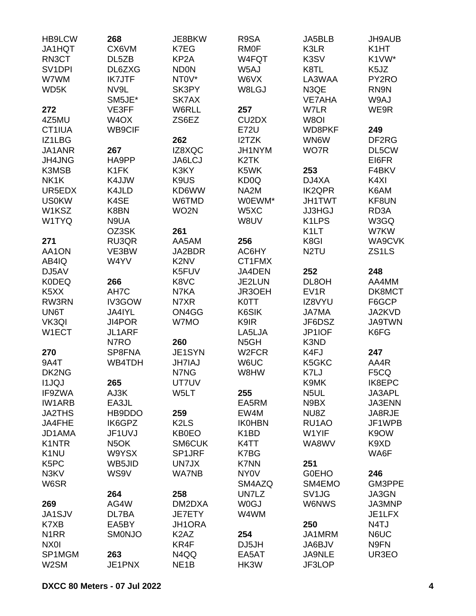| <b>HB9LCW</b>                 | 268               | JE8BKW                        | R9SA                           | JA5BLB             | JH9AUB             |
|-------------------------------|-------------------|-------------------------------|--------------------------------|--------------------|--------------------|
| JA1HQT                        | CX6VM             | K7EG                          | <b>RMOF</b>                    | K3LR               | K <sub>1</sub> HT  |
| RN3CT                         | DL5ZB             | KP <sub>2</sub> A             | W4FQT                          | K3SV               | K1VW*              |
| SV <sub>1</sub> DPI           | DL6ZXG            | <b>ND0N</b>                   | W5AJ                           | K8TL               | K5JZ               |
| W7WM                          | <b>IK7JTF</b>     | NT0V*                         | W6VX                           | LA3WAA             | PY2RO              |
| WD5K                          | NV9L              | SK3PY                         | W8LGJ                          | N3QE               | RN9N               |
|                               | SM5JE*            | SK7AX                         |                                | <b>VE7AHA</b>      | W9AJ               |
| 272                           | VE3FF             | W6RLL                         | 257                            | W7LR               | WE9R               |
| 4Z5MU                         | W <sub>4</sub> OX | ZS6EZ                         | CU <sub>2</sub> D <sub>X</sub> | W8OI               |                    |
| CT1IUA                        | WB9CIF            |                               | <b>E72U</b>                    | WD8PKF             | 249                |
| IZ1LBG                        |                   | 262                           | I2TZK                          | WN6W               | DF2RG              |
| JA1ANR                        | 267               | IZ8XQC                        | JH1NYM                         | WO7R               | DL5CW              |
| JH4JNG                        | HA9PP             | JA6LCJ                        | K <sub>2</sub> TK              |                    | EI6FR              |
| K3MSB                         | K <sub>1</sub> FK | K3KY                          | K5WK                           | 253                | F4BKV              |
| NK1K                          | K4JJW             | K9US                          | KD <sub>0</sub> Q              | DJ4XA              | K4XI               |
| UR5EDX                        | K4JLD             | KD6WW                         | NA <sub>2</sub> M              | <b>IK2QPR</b>      | K6AM               |
| <b>US0KW</b>                  | K4SE              | W6TMD                         | W0EWM*                         | <b>JH1TWT</b>      | KF8UN              |
| W1KSZ                         | K8BN              | WO <sub>2</sub> N             | W5XC                           | <b>JJ3HGJ</b>      | RD3A               |
|                               |                   |                               |                                |                    |                    |
| W1TYQ                         | N9UA              |                               | W8UV                           | K <sub>1</sub> LPS | W3GQ               |
|                               | OZ3SK             | 261                           |                                | K <sub>1</sub> LT  | W7KW               |
| 271                           | RU3QR             | AA5AM                         | 256                            | K8GI               | WA9CVK             |
| AA1ON                         | VE3BW             | JA2BDR                        | AC6HY                          | N <sub>2</sub> TU  | ZS <sub>1</sub> LS |
| AB4IQ                         | W4YV              | K <sub>2</sub> N <sub>V</sub> | CT1FMX                         |                    |                    |
| DJ5AV                         |                   | K5FUV                         | JA4DEN                         | 252                | 248                |
| <b>K0DEQ</b>                  | 266               | K8VC                          | JE2LUN                         | DL8OH              | AA4MM              |
| K <sub>5</sub> X <sub>X</sub> | AH7C              | N7KA                          | JR3OEH                         | EV <sub>1</sub> R  | DK8MCT             |
| RW3RN                         | IV3GOW            | N7XR                          | <b>K0TT</b>                    | IZ8VYU             | F6GCP              |
| UN6T                          | JA4IYL            | ON4GG                         | K6SIK                          | <b>JA7MA</b>       | JA2KVD             |
| VK3QI                         | JI4POR            | W7MO                          | K9IR                           | JF6DSZ             | <b>JA9TWN</b>      |
| W1ECT                         | JL1ARF            |                               | LA5LJA                         | JP1IOF             | K6FG               |
|                               | N7RO              | 260                           | N <sub>5</sub> GH              | K3ND               |                    |
| 270                           | SP8FNA            | JE1SYN                        | W <sub>2</sub> FCR             | K4FJ               | 247                |
| 9A4T                          | WB4TDH            | <b>JH7IAJ</b>                 | W6UC                           | K5GKC              | AA4R               |
| DK2NG                         |                   | N7NG                          | W8HW                           | K7LJ               | F <sub>5</sub> CQ  |
| <b>I1JQJ</b>                  | 265               | UT7UV                         |                                | K9MK               | IK8EPC             |
| IF9ZWA                        | AJ3K              | W5LT                          | 255                            | N5UL               | JA3APL             |
| <b>IW1ARB</b>                 | EA3JL             |                               | EA5RM                          | N9BX               | JA3ENN             |
| <b>JA2THS</b>                 | HB9DDO            | 259                           | EW4M                           | NU8Z               | JA8RJE             |
| JA4FHE                        | IK6GPZ            | K <sub>2</sub> L <sub>S</sub> | <b>IK0HBN</b>                  | RU1AO              | JF1WPB             |
| JD1AMA                        | JF1UVJ            | <b>KB0EO</b>                  | K <sub>1</sub> BD              | W1YIF              | K9OW               |
| <b>K1NTR</b>                  | N <sub>5</sub> OK | SM6CUK                        | K4TT                           | WA8WV              | K9XD               |
| K <sub>1</sub> NU             | W9YSX             | SP1JRF                        | K7BG                           |                    | WA6F               |
| K <sub>5</sub> PC             | WB5JID            | UN7JX                         | <b>K7NN</b>                    | 251                |                    |
| N3KV                          | WS9V              | <b>WA7NB</b>                  | NY <sub>0</sub> V              | <b>GOEHO</b>       | 246                |
| W6SR                          |                   |                               | SM4AZQ                         | SM4EMO             | GM3PPE             |
|                               | 264               | 258                           | UN7LZ                          | SV1JG              | JA3GN              |
| 269                           | AG4W              | DM2DXA                        | <b>W0GJ</b>                    | W6NWS              | JA3MNP             |
| <b>JA1SJV</b>                 | DL7BA             | JE7ETY                        | W4WM                           |                    | JE1LFX             |
| K7XB                          | EA5BY             | JH1ORA                        |                                | 250                | N <sub>4</sub> TJ  |
| N <sub>1</sub> RR             | <b>SMONJO</b>     | K <sub>2</sub> A <sub>Z</sub> | 254                            | JA1MRM             | N6UC               |
| NX0I                          |                   | KR4F                          | DJ5JH                          | JA6BJV             | N9FN               |
| SP1MGM                        | 263               | N4QQ                          | EA5AT                          | JA9NLE             | UR3EO              |
| W2SM                          | JE1PNX            | NE <sub>1</sub> B             | HK3W                           | JF3LOP             |                    |
|                               |                   |                               |                                |                    |                    |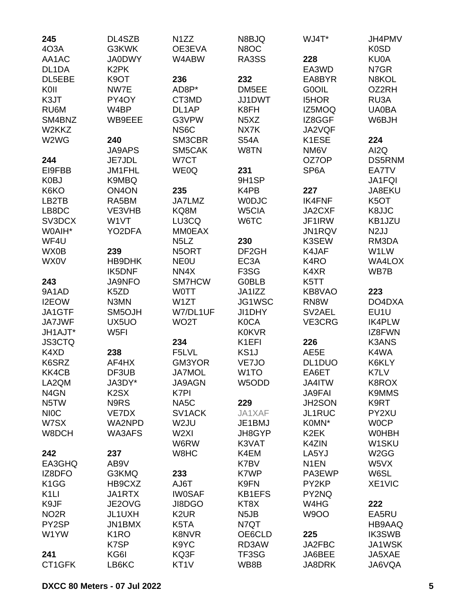| 245               | DL4SZB             | N <sub>1</sub> ZZ             | N8BJQ                         | WJ4T*             | JH4PMV             |
|-------------------|--------------------|-------------------------------|-------------------------------|-------------------|--------------------|
| 4O3A              | G3KWK              | OE3EVA                        | N8OC                          |                   | K <sub>0</sub> SD  |
| AA1AC             | <b>JA0DWY</b>      | W4ABW                         | RA3SS                         | 228               | KU0A               |
| DL1DA             | K <sub>2</sub> PK  |                               |                               | EA3WD             | N7GR               |
| DL5EBE            | K9OT               | 236                           | 232                           | EA8BYR            | N8KOL              |
| K0II              | NW7E               | AD8P*                         | DM5EE                         | G0OIL             | OZ2RH              |
| K3JT              | PY4OY              | CT3MD                         | JJ1DWT                        | <b>I5HOR</b>      | RU3A               |
| RU6M              | W4BP               | DL1AP                         | K8FH                          | IZ5MOQ            | <b>UA0BA</b>       |
| SM4BNZ            | WB9EEE             | G3VPW                         | N <sub>5</sub> X <sub>Z</sub> | IZ8GGF            | W6BJH              |
| W2KKZ             |                    | NS6C                          | NX7K                          | JA2VQF            |                    |
| W2WG              | 240                | SM3CBR                        | <b>S54A</b>                   | K1ESE             | 224                |
|                   | <b>JA9APS</b>      | SM5CAK                        | W8TN                          | NM6V              | AI2Q               |
| 244               | JE7JDL             | W7CT                          |                               | OZ7OP             | <b>DS5RNM</b>      |
| EI9FBB            | JM1FHL             | WE0Q                          | 231                           | SP6A              | EA7TV              |
| K0BJ              | K9MBQ              |                               | 9H1SP                         |                   | JA1FQI             |
| K6KO              | ON <sub>4</sub> ON | 235                           | K4PB                          | 227               | JA8EKU             |
| LB2TB             | RA5BM              | JA7LMZ                        | <b>WODJC</b>                  | <b>IK4FNF</b>     | K <sub>5</sub> OT  |
| LB8DC             | VE3VHB             | KQ8M                          | W5CIA                         | JA2CXF            | K8JJC              |
| SV3DCX            | W1VT               | LU3CQ                         | W6TC                          | JF1IRW            | KB1JZU             |
| W0AIH*            | YO2DFA             | <b>MM0EAX</b>                 |                               | JN1RQV            | N <sub>2</sub> JJ  |
| WF4U              |                    | N <sub>5</sub> L <sub>Z</sub> | 230                           | K3SEW             | RM3DA              |
| WX0B              | 239                | N5ORT                         | DF <sub>2GH</sub>             | K4JAF             | W1LW               |
| <b>WX0V</b>       | HB9DHK             | <b>NEOU</b>                   | EC <sub>3</sub> A             | K <sub>4</sub> RO | WA4LOX             |
|                   | <b>IK5DNF</b>      | NN4X                          | F <sub>3</sub> SG             | K4XR              | WB7B               |
| 243               | <b>JA9NFO</b>      | SM7HCW                        | <b>G0BLB</b>                  | K5TT              |                    |
| 9A1AD             | K <sub>5</sub> ZD  | <b>WOTT</b>                   | JA1IZZ                        | KB8VAO            | 223                |
| I2EOW             | N3MN               | W1ZT                          | JG1WSC                        | RN8W              | DO4DXA             |
| JA1GTF            | SM5OJH             | W7/DL1UF                      | JI1DHY                        | SV2AEL            | EU1U               |
| <b>JA7JWF</b>     | UX5UO              | WO <sub>2</sub> T             | <b>K0CA</b>                   | VE3CRG            | <b>IK4PLW</b>      |
| JH1AJT*           | W <sub>5FI</sub>   |                               | <b>K0KVR</b>                  |                   | IZ8FWN             |
| <b>JS3CTQ</b>     |                    | 234                           | K1EFI                         | 226               | <b>K3ANS</b>       |
| K4XD              | 238                | F5LVL                         | KS <sub>1</sub> J             | AE5E              | K4WA               |
| K6SRZ             | AF4HX              | GM3YOR                        | VE7JO                         | DL1DUO            | K6KLY              |
| KK4CB             | DF3UB              | <b>JA7MOL</b>                 | W <sub>1</sub> TO             | EA6ET             | K7LV               |
| LA2QM             | JA3DY*             | JA9AGN                        | W5ODD                         | JA4ITW            | K8ROX              |
| N4GN              | K <sub>2</sub> SX  | K7PI                          |                               | <b>JA9FAI</b>     | <b>K9MMS</b>       |
| N5TW              | N9RS               | NA5C                          | 229                           | JH2SON            | K9RT               |
| <b>NIOC</b>       | VE7DX              | SV <sub>1</sub> ACK           | JA1XAF                        | JL1RUC            | PY2XU              |
| W7SX              | WA2NPD             | W2JU                          | JE1BMJ                        | K0MN*             | <b>WOCP</b>        |
| W8DCH             | WA3AFS             | W <sub>2XI</sub>              | JH8GYP                        | K <sub>2</sub> EK | <b>WOHBH</b>       |
|                   |                    | W6RW                          | K3VAT                         |                   | W <sub>1</sub> SKU |
|                   |                    | W8HC                          | K4EM                          | K4ZIN<br>LA5YJ    | W <sub>2</sub> GG  |
| 242               | 237                |                               |                               |                   |                    |
| EA3GHQ<br>IZ8DFO  | AB9V               |                               | K7BV                          | N <sub>1</sub> EN | W5VX               |
|                   | G3KMQ              | 233                           | K7WP                          | PA3EWP            | W6SL               |
| K <sub>1</sub> GG | HB9CXZ             | AJ6T                          | K9FN                          | PY2KP             | XE1VIC             |
| K <sub>1</sub> LI | JA1RTX             | <b>IW0SAF</b>                 | <b>KB1EFS</b>                 | PY2NQ             |                    |
| K9JF              | JE2OVG             | JI8DGO                        | KT8X                          | W4HG              | 222                |
| NO <sub>2</sub> R | JL1UXH             | K <sub>2</sub> UR             | N <sub>5</sub> JB             | <b>W9OO</b>       | EA5RU              |
| PY2SP             | JN1BMX             | K5TA                          | N7QT                          |                   | HB9AAQ             |
| W1YW              | K <sub>1</sub> RO  | K8NVR                         | OE6CLD                        | 225               | <b>IK3SWB</b>      |
|                   | K7SP               | K9YC                          | RD3AW                         | JA2FBC            | JA1WSK             |
| 241               | KG6I               | KQ3F                          | TF3SG                         | JA6BEE            | JA5XAE             |
| CT1GFK            | LB6KC              | KT <sub>1</sub> V             | WB8B                          | JA8DRK            | JA6VQA             |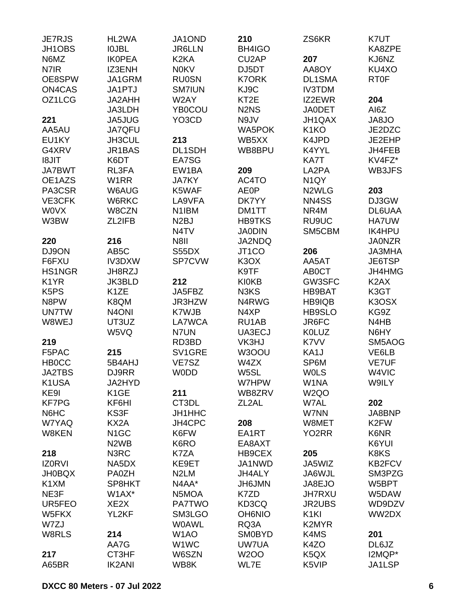| <b>JE7RJS</b>                 | HL2WA                         | JA1OND            | 210                           | ZS6KR                         | K7UT               |
|-------------------------------|-------------------------------|-------------------|-------------------------------|-------------------------------|--------------------|
| JH1OBS                        | <b>IOJBL</b>                  | <b>JR6LLN</b>     | BH4IGO                        |                               | KA8ZPE             |
| N6MZ                          | <b>IKOPEA</b>                 | K <sub>2</sub> KA | CU <sub>2</sub> AP            | 207                           | KJ6NZ              |
| N7IR                          | IZ3ENH                        | <b>N0KV</b>       | DJ5DT                         | AA8OY                         | KU4XO              |
| OE8SPW                        | JA1GRM                        | <b>RU0SN</b>      | <b>K7ORK</b>                  | DL1SMA                        | <b>RT0F</b>        |
| ON4CAS                        | JA1PTJ                        | <b>SM7IUN</b>     | KJ9C                          | <b>IV3TDM</b>                 |                    |
| OZ1LCG                        | JA2AHH                        | W2AY              | KT <sub>2</sub> E             | IZ2EWR                        | 204                |
|                               | JA3LDH                        | <b>YB0COU</b>     | N <sub>2</sub> N <sub>S</sub> | <b>JA0DET</b>                 | AI6Z               |
| 221                           | <b>JA5JUG</b>                 | YO3CD             | N9JV                          | JH1QAX                        | <b>OL8AL</b>       |
| AA5AU                         | JA7QFU                        |                   | <b>WA5POK</b>                 | K <sub>1</sub> KO             | JE2DZC             |
| EU1KY                         | JH3CUL                        | 213               | WB5XX                         | K4JPD                         | JE2EHP             |
| G4XRV                         | JR1BAS                        | DL1SDH            | WB8BPU                        | K4YYL                         | JH4FEB             |
| <b>I8JIT</b>                  | K6DT                          | EA7SG             |                               | KA7T                          | KV4FZ*             |
| <b>JA7BWT</b>                 | RL3FA                         | EW1BA             | 209                           | LA2PA                         | WB3JFS             |
| OE1AZS                        | W <sub>1</sub> RR             | <b>JA7KY</b>      | AC4TO                         | N <sub>1</sub> QY             |                    |
| PA3CSR                        | W6AUG                         | K5WAF             | <b>AE0P</b>                   | N2WLG                         | 203                |
| VE3CFK                        | W6RKC                         | LA9VFA            | DK7YY                         | NN4SS                         | DJ3GW              |
| <b>WOVX</b>                   | W8CZN                         | N1IBM             | DM1TT                         | NR4M                          | DL6UAA             |
| W3BW                          | ZL2IFB                        | N <sub>2</sub> BJ | <b>HB9TKS</b>                 | RU9UC                         | HA7UW              |
|                               |                               | N <sub>4</sub> TV | <b>JA0DIN</b>                 | SM5CBM                        | <b>IK4HPU</b>      |
| 220                           | 216                           | <b>N8II</b>       | JA2NDQ                        |                               | <b>JA0NZR</b>      |
|                               | AB <sub>5</sub> C             |                   |                               |                               | <b>JA3MHA</b>      |
| DJ9ON                         |                               | S55DX             | JT1CO                         | 206                           |                    |
| F6FXU                         | IV3DXW                        | SP7CVW            | K <sub>3</sub> OX             | AA5AT                         | JE6TSP             |
| HS1NGR                        | JH8RZJ                        |                   | K9TF                          | AB0CT                         | JH4HMG             |
| K <sub>1</sub> YR             | <b>JK3BLD</b>                 | 212               | <b>KI0KB</b>                  | GW3SFC                        | K <sub>2</sub> AX  |
| K <sub>5</sub> P <sub>S</sub> | K <sub>1</sub> ZE             | JA5FBZ            | N3KS                          | <b>HB9BAT</b>                 | K3GT               |
| N8PW                          | K8QM                          | JR3HZW            | N4RWG                         | HB9IQB                        | K3OSX              |
| <b>UN7TW</b>                  | N <sub>4</sub> ONI            | K7WJB             | N4XP                          | <b>HB9SLO</b>                 | KG9Z               |
| W8WEJ                         | UT3UZ                         | LA7WCA            | RU1AB                         | JR6FC                         | N4HB               |
|                               | W5VQ                          | N7UN              | UA3ECJ                        | <b>K0LUZ</b>                  | N6HY               |
| 219                           |                               | RD3BD             | VK3HJ                         | K7VV                          | SM5AOG             |
| F5PAC                         | 215                           | SV1GRE            | W3OOU                         | KA <sub>1</sub> J             | VE6LB              |
| <b>HBOCC</b>                  | 5B4AHJ                        | VE7SZ             | W4ZX                          | SP6M                          | <b>VE7UF</b>       |
| <b>JA2TBS</b>                 | DJ9RR                         | <b>WODD</b>       | W5SL                          | <b>WOLS</b>                   | W <sub>4</sub> VIC |
| K1USA                         | JA2HYD                        |                   | W7HPW                         | W1NA                          | W9ILY              |
| KE9I                          | K <sub>1</sub> GE             | 211               | WB8ZRV                        | W <sub>2</sub> QO             |                    |
| <b>KF7PG</b>                  | KF6HI                         | CT3DL             | ZL <sub>2</sub> AL            | W7AL                          | 202                |
| N6HC                          | KS3F                          | JH1HHC            |                               | W7NN                          | JA8BNP             |
| W7YAQ                         | KX2A                          | JH4CPC            | 208                           | W8MET                         | K <sub>2</sub> FW  |
| W8KEN                         | N <sub>1</sub> GC             | K6FW              | EA1RT                         | YO <sub>2</sub> RR            | K6NR               |
|                               | N <sub>2</sub> W <sub>B</sub> | K6RO              | EA8AXT                        |                               | K6YUI              |
| 218                           | N3RC                          | K7ZA              | HB9CEX                        | 205                           | K8KS               |
| <b>IZ0RVI</b>                 | NA5DX                         | KE9ET             | JA1NWD                        | JA5WIZ                        | <b>KB2FCV</b>      |
| <b>JH0BQX</b>                 | PA0ZH                         | N <sub>2</sub> LM | JH4ALY                        | JA6WJL                        | SM3PZG             |
| K1XM                          | SP8HKT                        | N4AA*             | <b>JH6JMN</b>                 | JA8EJO                        | W5BPT              |
| NE3F                          | W1AX*                         | N5MOA             | K7ZD                          | <b>JH7RXU</b>                 | W5DAW              |
| UR5FEO                        | XE <sub>2</sub> X             | <b>PA7TWO</b>     | KD3CQ                         | <b>JR2UBS</b>                 | WD9DZV             |
| W5FKX                         | YL2KF                         | SM3LGO            | <b>OH6NIO</b>                 | K <sub>1</sub> KI             | WW2DX              |
|                               |                               |                   |                               |                               |                    |
| W7ZJ                          |                               | <b>WOAWL</b>      | RQ3A                          | K2MYR                         |                    |
| W8RLS                         | 214                           | W <sub>1</sub> AO | <b>SM0BYD</b>                 | K4MS                          | 201                |
|                               | AA7G                          | W <sub>1</sub> WC | <b>UW7UA</b>                  | K4ZO                          | DL6JZ              |
| 217                           | CT3HF                         | W6SZN             | <b>W2OO</b>                   | K <sub>5</sub> Q <sub>X</sub> | I2MQP*             |
| A65BR                         | <b>IK2ANI</b>                 | WB8K              | WL7E                          | K5VIP                         | JA1LSP             |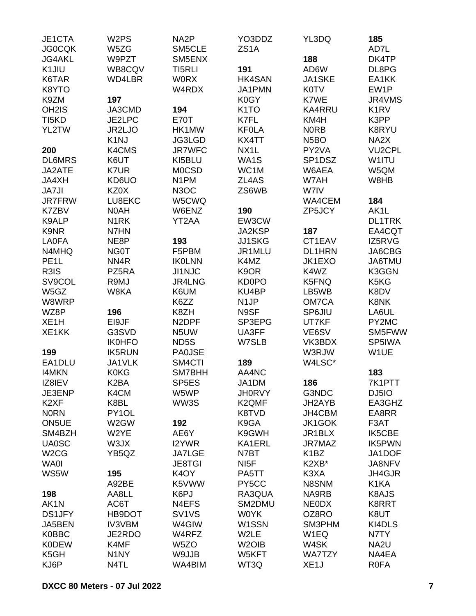| JE1CTA<br><b>JG0CQK</b> | W <sub>2</sub> PS<br>W5ZG | NA <sub>2</sub> P<br>SM5CLE        | YO3DDZ<br>ZS <sub>1</sub> A | YL3DQ             | 185<br>AD7L       |
|-------------------------|---------------------------|------------------------------------|-----------------------------|-------------------|-------------------|
| <b>JG4AKL</b>           | W9PZT                     | SM5ENX                             |                             | 188               | DK4TP             |
| K1JIU                   | WB8CQV                    | TI5RLI                             | 191                         | AD6W              | DL8PG             |
| K6TAR                   | WD4LBR                    | <b>WORX</b>                        | <b>HK4SAN</b>               | <b>JA1SKE</b>     | EA1KK             |
| K8YTO                   |                           | W4RDX                              | JA1PMN                      | <b>K0TV</b>       | EW1P              |
| K9ZM                    | 197                       |                                    | K0GY                        | K7WE              | JR4VMS            |
| OH <sub>2</sub> IS      | JA3CMD                    | 194                                | K <sub>1</sub> TO           | <b>KA4RRU</b>     | K <sub>1</sub> RV |
| TI <sub>5</sub> KD      | JE2LPC                    | <b>E70T</b>                        | K7FL                        | KM4H              | K3PP              |
|                         | JR2LJO                    |                                    | <b>KFOLA</b>                | <b>NORB</b>       |                   |
| YL2TW                   |                           | HK1MW                              |                             |                   | K8RYU             |
|                         | K <sub>1</sub> NJ         | JG3LGD                             | KX4TT                       | N <sub>5</sub> BO | NA2X              |
| 200                     | K4CMS                     | <b>JR7WFC</b>                      | NX <sub>1</sub> L           | PY2VA             | <b>VU2CPL</b>     |
| <b>DL6MRS</b>           | K6UT                      | KI5BLU                             | WA1S                        | SP1DSZ            | W1ITU             |
| JA2ATE                  | K7UR                      | <b>MOCSD</b>                       | WC1M                        | W6AEA             | W5QM              |
| JA4XH                   | KD6UO                     | N <sub>1</sub> PM                  | ZL4AS                       | W7AH              | W8HB              |
| <b>JA7JI</b>            | KZ0X                      | N <sub>3</sub> OC                  | ZS6WB                       | W7IV              |                   |
| <b>JR7FRW</b>           | LU8EKC                    | W5CWQ                              |                             | WA4CEM            | 184               |
| K7ZBV                   | N0AH                      | W6ENZ                              | 190                         | ZP5JCY            | AK1L              |
| K9ALP                   | N <sub>1</sub> RK         | YT2AA                              | EW3CW                       |                   | <b>DL1TRK</b>     |
| K9NR                    | N7HN                      |                                    | JA2KSP                      | 187               | EA4CQT            |
| <b>LA0FA</b>            | NE8P                      | 193                                | <b>JJ1SKG</b>               | CT1EAV            | IZ5RVG            |
| N4MHQ                   | <b>NG0T</b>               | F5PBM                              | JR1MLU                      | <b>DL1HRN</b>     | JA6CBG            |
| PE <sub>1</sub> L       | NN4R                      | <b>IKOLNN</b>                      | K4MZ                        | JK1EXO            | JA6TMU            |
| R3IS                    | PZ5RA                     | <b>JI1NJC</b>                      | K <sub>9</sub> OR           | K4WZ              | K3GGN             |
| SV9COL                  | R9MJ                      | JR4LNG                             | <b>KD0PO</b>                | K5FNQ             | K5KG              |
| W5GZ                    | W8KA                      | K6UM                               | KU4BP                       | LB5WB             | K8DV              |
| W8WRP                   |                           | K6ZZ                               | N <sub>1</sub> JP           | OM7CA             | K8NK              |
| WZ8P                    | 196                       | K8ZH                               | N9SF                        | SP6JIU            | LA6UL             |
| XE <sub>1</sub> H       | EI9JF                     | N <sub>2</sub> DPF                 | SP3EPG                      | UT7KF             | PY2MC             |
| XE1KK                   | G3SVD                     | N5UW                               | UA3FF                       | VE6SV             | SM5FWW            |
|                         | <b>IK0HFO</b>             | ND5S                               | W7SLB                       | VK3BDX            | SP5IWA            |
| 199                     | <b>IK5RUN</b>             | <b>PA0JSE</b>                      |                             | W3RJW             | W1UE              |
| EA1DLU                  | JA1VLK                    | SM4CTI                             | 189                         | W4LSC*            |                   |
| <b>I4MKN</b>            | <b>K0KG</b>               | SM7BHH                             | AA4NC                       |                   | 183               |
| IZ8IEV                  | K <sub>2</sub> BA         | SP <sub>5E</sub> S                 | JA1DM                       | 186               | 7K1PTT            |
| JE3ENP                  | K4CM                      | W5WP                               | <b>JH0RVY</b>               | G3NDC             | DJ5IO             |
| K <sub>2</sub> XF       | K8BL                      | WW3S                               | K2QMF                       | JH2AYB            | EA3GHZ            |
| <b>NORN</b>             | PY1OL                     |                                    | K8TVD                       | JH4CBM            | EA8RR             |
| ON5UE                   | W2GW                      | 192                                | K9GA                        | JK1GOK            | F3AT              |
| SM4BZH                  | W2YE                      | AE6Y                               | K9GWH                       | JR1BLX            | <b>IK5CBE</b>     |
| <b>UA0SC</b>            | W3JX                      | I2YWR                              | KA1ERL                      | JR7MAZ            | <b>IK5PWN</b>     |
| W <sub>2</sub> CG       | YB5QZ                     | <b>JA7LGE</b>                      | N7BT                        | K <sub>1</sub> BZ | JA1DOF            |
| <b>WA0I</b>             |                           |                                    | NI <sub>5</sub> F           | K2XB*             | JA8NFV            |
|                         |                           | <b>JE8TGI</b><br>K <sub>4</sub> OY |                             |                   |                   |
| WS5W                    | 195                       |                                    | PA5TT                       | K3XA              | JH4GJR            |
|                         | A92BE                     | K5VWW                              | PY5CC                       | N8SNM             | K <sub>1</sub> KA |
| 198                     | AA8LL                     | K6PJ                               | RA3QUA                      | NA9RB             | K8AJS             |
| AK1N                    | AC6T                      | N4EFS                              | SM2DMU                      | <b>NEODX</b>      | K8RRT             |
| <b>DS1JFY</b>           | HB9DOT                    | SV <sub>1</sub> V <sub>S</sub>     | <b>WOYK</b>                 | OZ8RO             | K8UT              |
| JA5BEN                  | <b>IV3VBM</b>             | W4GIW                              | W1SSN                       | SM3PHM            | KI4DLS            |
| <b>K0BBC</b>            | JE2RDO                    | W4RFZ                              | W2LE                        | W <sub>1</sub> EQ | N7TY              |
| <b>K0DEW</b>            | K4MF                      | W <sub>5</sub> ZO                  | W <sub>2</sub> OIB          | W4SK              | NA <sub>2U</sub>  |
| K5GH                    | N <sub>1</sub> NY         | W9JJB                              | W5KFT                       | <b>WA7TZY</b>     | NA4EA             |
| KJ6P                    | N4TL                      | WA4BIM                             | WT3Q                        | XE <sub>1</sub> J | <b>R0FA</b>       |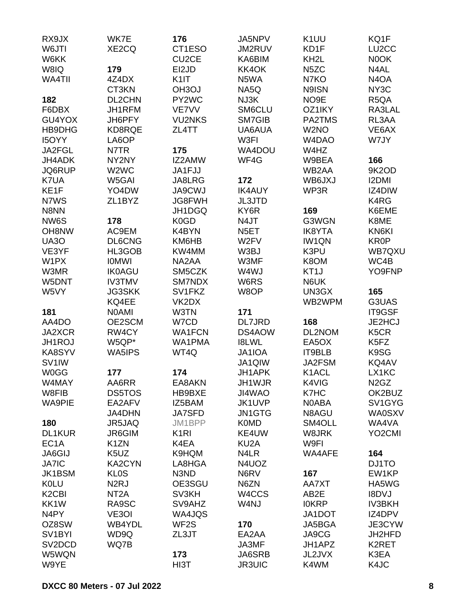| RX9JX                          | WK7E                          | 176               | JA5NPV            | K <sub>1</sub> UU | KQ1F                          |
|--------------------------------|-------------------------------|-------------------|-------------------|-------------------|-------------------------------|
| W6JTI                          | XE2CQ                         | CT1ESO            | JM2RUV            | KD1F              | LU <sub>2</sub> CC            |
| W6KK                           |                               | CU2CE             | KA6BIM            | KH <sub>2</sub> L | N0OK                          |
| W8IQ                           | 179                           | EI2JD             | KK4OK             | N <sub>5</sub> ZC | N4AL                          |
| WA4TII                         | 4Z4DX                         | K <sub>1</sub>    | N5WA              | N7KO              | N <sub>4</sub> O <sub>A</sub> |
|                                | CT3KN                         | OH3OJ             | NA5Q              | N9ISN             | NY3C                          |
| 182                            | DL2CHN                        | PY2WC             | NJ3K              | NO <sub>9E</sub>  | R <sub>5</sub> QA             |
| F6DBX                          | JH1RFM                        | VE7VV             | SM6CLU            | OZ1IKY            | RA3LAL                        |
| GU4YOX                         | JH6PFY                        | <b>VU2NKS</b>     | SM7GIB            | PA2TMS            | RL3AA                         |
| HB9DHG                         | KD8RQE                        | ZL4TT             | UA6AUA            | W <sub>2</sub> NO | VE6AX                         |
| <b>I5OYY</b>                   | LA6OP                         |                   | W3FI              | W4DAO             | W7JY                          |
| JA2FGL                         | N7TR                          | 175               | WA4DOU            | W4HZ              |                               |
| JH4ADK                         | NY2NY                         | IZ2AMW            | WF4G              | W9BEA             | 166                           |
| JQ6RUP                         | W <sub>2</sub> W <sub>C</sub> | JA1FJJ            |                   | WB2AA             | 9K2OD                         |
| K7UA                           | W5GAI                         | JA8LRG            | 172               | WB6JXJ            | <b>I2DMI</b>                  |
| KE1F                           | YO4DW                         | <b>JA9CWJ</b>     | <b>IK4AUY</b>     | WP3R              | IZ4DIW                        |
| N7WS                           | ZL1BYZ                        | JG8FWH            | JL3JTD            |                   | K4RG                          |
| N8NN                           |                               | JH1DGQ            | KY6R              | 169               | K6EME                         |
| NW6S                           | 178                           | K0GD              | N4JT              | G3WGN             | K8ME                          |
| OH8NW                          | AC9EM                         | K4BYN             | N <sub>5</sub> ET | <b>IK8YTA</b>     | KN6KI                         |
| <b>UA30</b>                    | DL6CNG                        | KM6HB             | W2FV              | <b>IW1QN</b>      | KR0P                          |
| VE3YF                          | HL3GOB                        | KW4MM             | W3BJ              | K3PU              | WB7QXU                        |
| W1PX                           | <b>IOMWI</b>                  | NA2AA             | W3MF              | K8OM              | WC4B                          |
| W3MR                           | <b>IK0AGU</b>                 | SM5CZK            | W4WJ              | KT <sub>1</sub> J | YO9FNP                        |
| W5DNT                          | <b>IV3TMV</b>                 | SM7NDX            | W6RS              | N6UK              |                               |
| W5VY                           | <b>JG3SKK</b>                 | SV1FKZ            | W8OP              | UN3GX             | 165                           |
|                                | KQ4EE                         | VK2DX             |                   | WB2WPM            | G3UAS                         |
| 181                            | <b>NOAMI</b>                  | W3TN              | 171               |                   | IT9GSF                        |
| AA4DO                          | OE2SCM                        | W7CD              | <b>DL7JRD</b>     | 168               | JE2HCJ                        |
| JA2XCR                         | RW4CY                         | <b>WA1FCN</b>     | DS4AOW            | DL2NOM            | K <sub>5</sub> CR             |
| JH1ROJ                         | W5QP*                         | WA1PMA            | <b>I8LWL</b>      | EA5OX             | K <sub>5</sub> F <sub>Z</sub> |
| KA8SYV                         | WA5IPS                        | WT4Q              | JA1IOA            | IT9BLB            | K9SG                          |
| SV <sub>1</sub> IW             |                               |                   | JA1QIW            | JA2FSM            | KQ4AV                         |
| <b>W0GG</b>                    | 177                           | 174               | JH1APK            | K1ACL             | LX1KC                         |
| W4MAY                          | AA6RR                         | EA8AKN            | JH1WJR            | K4VIG             | N <sub>2</sub> G <sub>Z</sub> |
| W8FIB                          | <b>DS5TOS</b>                 | HB9BXE            | JI4WAO            | K7HC              | OK2BUZ                        |
| <b>WA9PIE</b>                  | EA2AFV                        | IZ5BAM            | JK1UVP            | N0ABA             | SV1GYG                        |
|                                | <b>JA4DHN</b>                 | <b>JA7SFD</b>     | <b>JN1GTG</b>     | N8AGU             | <b>WA0SXV</b>                 |
| 180                            | JR5JAQ                        | JM1BPP            | <b>K0MD</b>       | SM4OLL            | WA4VA                         |
| <b>DL1KUR</b>                  | JR6GIM                        | K <sub>1</sub> RI | KE4UW             | W8JRK             | YO <sub>2</sub> CMI           |
| EC <sub>1</sub> A              | K <sub>1</sub> ZN             | K4EA              | KU <sub>2</sub> A | W9FI              |                               |
| <b>JA6GIJ</b>                  | K <sub>5</sub> UZ             | K9HQM             | N4LR              | WA4AFE            | 164                           |
| <b>JA7IC</b>                   | <b>KA2CYN</b>                 | LA8HGA            | N4UOZ             |                   | DJ1TO                         |
| <b>JK1BSM</b>                  | <b>KLOS</b>                   | N3ND              | N6RV              | 167               | EW1KP                         |
| <b>KOLU</b>                    | N <sub>2</sub> RJ             | OE3SGU            | N6ZN              | AA7XT             | HA5WG                         |
| K <sub>2</sub> C <sub>BI</sub> | NT <sub>2</sub> A             | SV3KH             | W4CCS             | AB2E              | <b>I8DVJ</b>                  |
| KK1W                           | RA9SC                         | SV9AHZ            | W4NJ              | <b>IOKRP</b>      | <b>IV3BKH</b>                 |
| N4PY                           | VE3OI                         | WA4JQS            |                   | JA1DOT            | IZ4DPV                        |
| OZ8SW                          | WB4YDL                        | WF <sub>2</sub> S | 170               | JA5BGA            | JE3CYW                        |
| SV <sub>1</sub> BYI            | WD9Q                          | ZL3JT             | EA2AA             | JA9CG             | JH2HFD                        |
| SV <sub>2</sub> DCD            | WQ7B                          |                   | JA3MF             | JH1APZ            | K2RET                         |
| W5WQN                          |                               | 173               | JA6SRB            | JL2JVX            | K3EA                          |
| W9YE                           |                               | HI3T              | <b>JR3UIC</b>     | K4WM              | K4JC                          |
|                                |                               |                   |                   |                   |                               |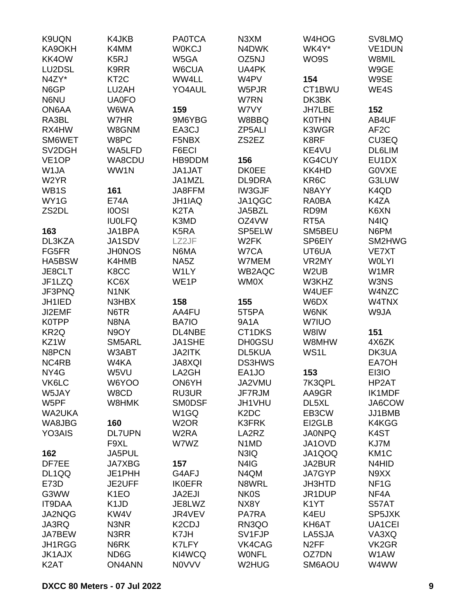| K9UQN                            | K4JKB                         | <b>PA0TCA</b>      | N <sub>3</sub> XM             | W4HOG             | SV8LMQ            |
|----------------------------------|-------------------------------|--------------------|-------------------------------|-------------------|-------------------|
| KA9OKH                           | K4MM                          | <b>WOKCJ</b>       | N4DWK                         | WK4Y*             | <b>VE1DUN</b>     |
| KK4OW                            | K <sub>5</sub> RJ             | W5GA               | OZ5NJ                         | WO9S              | W8MIL             |
| LU2DSL                           | K9RR                          | W6CUA              | UA4PK                         |                   | W9GE              |
| N4ZY*                            | KT <sub>2</sub> C             | WW4LL              | W4PV                          | 154               | W9SE              |
| N6GP                             | LU2AH                         | YO4AUL             | W5PJR                         | CT1BWU            | WE4S              |
| N6NU                             | <b>UA0FO</b>                  |                    | W7RN                          | DK3BK             |                   |
| ON6AA                            | W6WA                          | 159                | W7VY                          | <b>JH7LBE</b>     | 152               |
| RA3BL                            | W7HR                          | 9M6YBG             | W8BBQ                         | <b>K0THN</b>      | AB4UF             |
| RX4HW                            | W8GNM                         | EA3CJ              | ZP5ALI                        | K3WGR             | AF <sub>2</sub> C |
| SM6WET                           | W8PC                          | F5NBX              | ZS2EZ                         | K8RF              | CU3EQ             |
| SV <sub>2</sub> D <sub>G</sub> H | WA5LFD                        | F6ECI              |                               | KE4VU             | DL6LIM            |
| VE <sub>1</sub> OP               | WA8CDU                        | HB9DDM             | 156                           | <b>KG4CUY</b>     | EU1DX             |
| W1JA                             | WW1N                          | <b>JA1JAT</b>      | <b>DK0EE</b>                  | KK4HD             | G0VXE             |
| W2YR                             |                               | JA1MZL             | DL9DRA                        | KR6C              | G3LUW             |
| WB1S                             | 161                           | JA8FFM             | IW3GJF                        | N8AYY             | K4QD              |
| WY1G                             | <b>E74A</b>                   | JH1IAQ             | JA1QGC                        | <b>RA0BA</b>      | K4ZA              |
| ZS2DL                            | <b>IOOSI</b>                  | K <sub>2</sub> TA  | <b>JA5BZL</b>                 | RD9M              | K6XN              |
|                                  | <b>IU0LFQ</b>                 | K3MD               | OZ4VW                         | RT <sub>5</sub> A | N4IQ              |
| 163                              | JA1BPA                        | K <sub>5</sub> RA  | SP5ELW                        | SM5BEU            | N6PM              |
| DL3KZA                           | JA1SDV                        | LZ2JF              | W <sub>2</sub> FK             | SP6EIY            | SM2HWG            |
| FG5FR                            | <b>JHONOS</b>                 | N6MA               | W7CA                          | UT6UA             | VE7XT             |
| HA5BSW                           | K4HMB                         | NA5Z               | W7MEM                         | VR2MY             | <b>WOLYI</b>      |
| JE8CLT                           | K8CC                          | W1LY               | WB2AQC                        | W <sub>2</sub> UB | W1MR              |
| JF1LZQ                           | KC6X                          | WE1P               | WM0X                          | W3KHZ             | W3NS              |
| JF3PNQ                           | N <sub>1</sub> NK             |                    |                               | W4UEF             | W4NZC             |
| JH1IED                           | N3HBX                         | 158                | 155                           | W6DX              | W4TNX             |
| JI2EMF                           | N6TR                          | AA4FU              | 5T5PA                         | W6NK              | W9JA              |
| <b>K0TPP</b>                     | N8NA                          | BA7IO              | <b>9A1A</b>                   | W7IUO             |                   |
| KR <sub>2Q</sub>                 | N9OY                          | DL4NBE             | CT1DKS                        | W8IW              | 151               |
| KZ1W                             | SM5ARL                        | JA1SHE             | <b>DH0GSU</b>                 | W8MHW             | 4X6ZK             |
| N8PCN                            | W3ABT                         | JA2ITK             | DL5KUA                        | WS1L              | DK3UA             |
| NC4RB                            | W4KA                          | JA8XQI             | <b>DS3HWS</b>                 |                   | EA7OH             |
| NY4G                             | W5VU                          | LA2GH              | EA1JO                         | 153               | EI3IO             |
| VK6LC                            | W6YOO                         | ON6YH              | JA2VMU                        | 7K3QPL            | HP2AT             |
| W5JAY                            | W8CD                          | RU3UR              | JF7RJM                        | AA9GR             | <b>IK1MDF</b>     |
| W5PF                             | W8HMK                         | <b>SMODSF</b>      | JH1VHU                        | DL5XL             | JA6COW            |
| WA2UKA                           |                               | W <sub>1</sub> GQ  | K <sub>2</sub> D <sub>C</sub> | EB3CW             | JJ1BMB            |
| WA8JBG                           | 160                           | W <sub>2</sub> OR  | <b>K3FRK</b>                  | EI2GLB            | K4KGG             |
| YO3AIS                           | <b>DL7UPN</b>                 | W <sub>2</sub> RA  | LA2RZ                         | <b>JA0NPQ</b>     | K4ST              |
|                                  | F9XL                          | W7WZ               | N <sub>1</sub> M <sub>D</sub> | JA1OVD            | KJ7M              |
| 162                              | JA5PUL                        |                    | N3IQ                          | JA1QOQ            | KM <sub>1</sub> C |
| DF7EE                            | <b>JA7XBG</b>                 | 157                | N4IG                          | JA2BUR            | N4HID             |
| DL1QQ                            | JE1PHH                        | G4AFJ              | N4QM                          | JA7GYP            | N9XX              |
| E73D                             | JE2UFF                        | <b>IK0EFR</b>      | N8WRL                         | JH3HTD            | NF <sub>1</sub> G |
| G3WW                             | K <sub>1</sub> EO             | JA2EJI             | <b>NK0S</b>                   | JR1DUP            | NF4A              |
| <b>IT9DAA</b>                    | K <sub>1</sub> J <sub>D</sub> | JE8LWZ             | NX8Y                          | K <sub>1</sub> YT | S57AT             |
| JA2NQG                           | KW4V                          | JR4VEV             | PA7RA                         | K4EU              | SP5JXK            |
|                                  |                               |                    |                               |                   |                   |
| JA3RQ                            | N3NR                          | K <sub>2</sub> CDJ | RN3QO                         | KH6AT             | UA1CEI            |
| JA7BEW                           | N3RR                          | K7JH               | SV1FJP                        | LA5SJA            | VA3XQ             |
| JH1RGG                           | N6RK                          | K7LFY              | VK4CAG                        | N <sub>2</sub> FF | VK2GR             |
| <b>JK1AJX</b>                    | ND6G                          | KI4WCQ             | <b>WONFL</b>                  | OZ7DN             | W1AW              |
| K <sub>2</sub> AT                | <b>ON4ANN</b>                 | <b>NOVVV</b>       | W2HUG                         | SM6AOU            | W4WW              |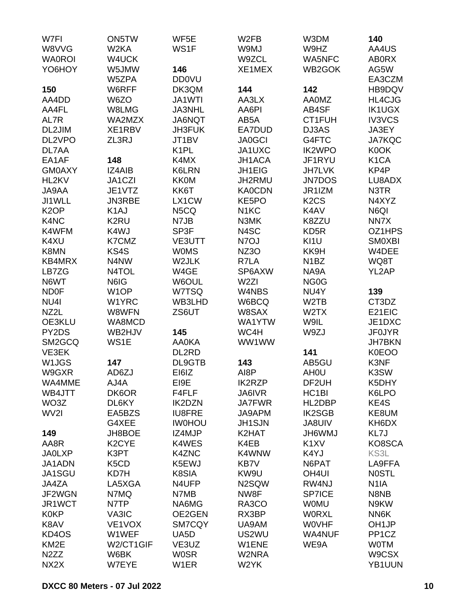| W7FI              | ON5TW                         | WF5E              | W <sub>2FB</sub>  | W3DM                          | 140                |
|-------------------|-------------------------------|-------------------|-------------------|-------------------------------|--------------------|
| W8VVG             | W <sub>2</sub> KA             | WS1F              | W9MJ              | W9HZ                          | AA4US              |
| <b>WA0ROI</b>     | W4UCK                         |                   | W9ZCL             | <b>WA5NFC</b>                 | <b>ABORX</b>       |
| YO6HOY            | W5JMW                         | 146               | XE1MEX            | WB2GOK                        | AG5W               |
|                   | W5ZPA                         | <b>DD0VU</b>      |                   |                               | EA3CZM             |
| 150               | W6RFF                         | DK3QM             | 144               | 142                           | HB9DQV             |
|                   |                               |                   |                   |                               |                    |
| AA4DD             | W6ZO                          | JA1WTI            | AA3LX             | <b>AA0MZ</b>                  | HL4CJG             |
| AA4FL             | W8LMG                         | <b>JA3NHL</b>     | AA6PI             | AB4SF                         | <b>IK1UGX</b>      |
| AL7R              | WA2MZX                        | JA6NQT            | AB5A              | CT1FUH                        | <b>IV3VCS</b>      |
| DL2JIM            | XE1RBV                        | JH3FUK            | EA7DUD            | DJ3AS                         | JA3EY              |
| DL2VPO            | ZL3RJ                         | JT1BV             | <b>JA0GCI</b>     | G4FTC                         | <b>JA7KQC</b>      |
| DL7AA             |                               | K <sub>1</sub> PL | JA1UXC            | <b>IK2WPO</b>                 | K0OK               |
| EA1AF             | 148                           | K4MX              | <b>JH1ACA</b>     | JF1RYU                        | K <sub>1</sub> CA  |
| <b>GM0AXY</b>     | IZ4AIB                        | <b>K6LRN</b>      | JH1EIG            | <b>JH7LVK</b>                 | KP4P               |
| HL2KV             | JA1CZI                        | <b>KK0M</b>       | JH2RMU            | <b>JN7DOS</b>                 | LU8ADX             |
| JA9AA             | JE1VTZ                        | KK6T              | <b>KA0CDN</b>     | JR1IZM                        | N3TR               |
| JI1WLL            | JN3RBE                        | LX1CW             | KE5PO             | K <sub>2</sub> C <sub>S</sub> | N4XYZ              |
| K <sub>2</sub> OP | K <sub>1</sub> AJ             | N5CQ              | N <sub>1</sub> KC | K4AV                          | N6QI               |
| K4NC              | K <sub>2</sub> RU             | N7JB              | N3MK              | K8ZZU                         | NN7X               |
| K4WFM             | K4WJ                          | SP3F              | N4SC              | KD <sub>5</sub> R             | OZ1HPS             |
| K4XU              | K7CMZ                         | VE3UTT            | N7OJ              | KI1U                          | <b>SMOXBI</b>      |
| K8MN              | KS4S                          | <b>WOMS</b>       | NZ3O              | KK9H                          | W4DEE              |
|                   |                               |                   |                   |                               |                    |
| KB4MRX            | N4NW                          | W2JLK             | R7LA              | N <sub>1</sub> BZ             | WQ8T               |
| LB7ZG             | N4TOL                         | W4GE              | SP6AXW            | NA9A                          | YL2AP              |
| N6WT              | N6IG                          | W6OUL             | W <sub>2ZI</sub>  | NG <sub>0</sub> G             |                    |
| <b>ND0F</b>       | W <sub>1</sub> OP             | W7TSQ             | W4NBS             | NU4Y                          | 139                |
| NU4I              | W1YRC                         | WB3LHD            | W6BCQ             | W <sub>2</sub> TB             | CT3DZ              |
| NZ2L              | W8WFN                         | ZS6UT             | W8SAX             | W2TX                          | E21EIC             |
| OE3KLU            | WA8MCD                        |                   | WA1YTW            | W9IL                          | JE1DXC             |
| PY2DS             | WB2HJV                        | 145               | WC4H              | W9ZJ                          | <b>JF0JYR</b>      |
| SM2GCQ            | WS1E                          | <b>AA0KA</b>      | WW1WW             |                               | <b>JH7BKN</b>      |
| VE3EK             |                               | DL2RD             |                   | 141                           | K0EOO              |
| W1JGS             | 147                           | DL9GTB            | 143               | AB5GU                         | K3NF               |
| W9GXR             | AD6ZJ                         | EI6IZ             | AI8P              | AH <sub>0</sub> U             | K3SW               |
| WA4MME            | AJ4A                          | EI9E              | <b>IK2RZP</b>     | DF2UH                         | K5DHY              |
| WB4JTT            | DK6OR                         | F4FLF             | JA6IVR            | HC <sub>1</sub> BI            | K6LPO              |
| WO3Z              | DL6KY                         | <b>IK2DZN</b>     | <b>JA7FWR</b>     | HL2DBP                        | KE4S               |
| WV2I              | EA5BZS                        | <b>IU8FRE</b>     | JA9APM            | <b>IK2SGB</b>                 | KE8UM              |
|                   | G4XEE                         | <b>IWOHOU</b>     | <b>JH1SJN</b>     | <b>JA8UIV</b>                 | KH6DX              |
|                   |                               |                   |                   |                               |                    |
| 149               | JH8BOE                        | IZ4MJP            | K2HAT             | <b>JH6WMJ</b>                 | KL7J               |
| AA8R              | K <sub>2</sub> CYE            | K4WES             | K4EB              | K <sub>1</sub> XV             | KO8SCA             |
| <b>JA0LXP</b>     | K3PT                          | <b>K4ZNC</b>      | K4WNW             | K4YJ                          | KS3L               |
| JA1ADN            | K <sub>5</sub> C <sub>D</sub> | K5EWJ             | KB7V              | N6PAT                         | LA9FFA             |
| JA1SGU            | KD7H                          | K8SIA             | KW9U              | OH <sub>4UI</sub>             | <b>NOSTL</b>       |
| JA4ZA             | LA5XGA                        | N4UFP             | N2SQW             | RW4NJ                         | N <sub>1</sub> IA  |
| JF2WGN            | N7MQ                          | N7MB              | NW8F              | <b>SP7ICE</b>                 | N8NB               |
| JR1WCT            | N7TP                          | NA6MG             | RA3CO             | <b>WOMU</b>                   | N9KW               |
| <b>K0KP</b>       | VA3IC                         | OE2GEN            | RX3BP             | <b>WORXL</b>                  | NN6K               |
| K8AV              | VE1VOX                        | <b>SM7CQY</b>     | UA9AM             | <b>WOVHF</b>                  | OH <sub>1JP</sub>  |
| KD4OS             | W1WEF                         | UA5D              | US2WU             | <b>WA4NUF</b>                 | PP <sub>1</sub> CZ |
| KM <sub>2</sub> E | W2/CT1GIF                     | VE3UZ             | W1ENE             | WE9A                          | <b>WOTM</b>        |
| N <sub>2</sub> ZZ | W6BK                          | <b>WOSR</b>       | W2NRA             |                               | W9CSX              |
| NX2X              | W7EYE                         | W1ER              | W2YK              |                               | YB1UUN             |
|                   |                               |                   |                   |                               |                    |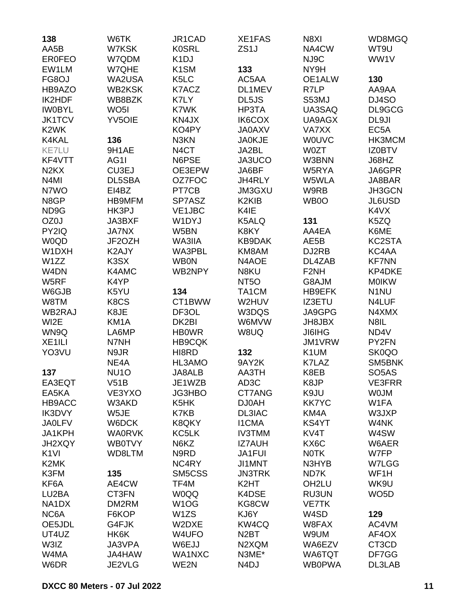| 138                            | W6TK                               | JR1CAD                                 | XE1FAS             | N8XI             | WD8MGQ             |
|--------------------------------|------------------------------------|----------------------------------------|--------------------|------------------|--------------------|
| AA5B                           | W7KSK                              | <b>K0SRL</b>                           | ZS <sub>1</sub> J  | NA4CW            | WT9U               |
| <b>ER0FEO</b>                  | W7QDM                              | K <sub>1</sub> DJ<br>K <sub>1</sub> SM |                    | NJ9C             | WW1V               |
| EW1LM                          | W7QHE                              |                                        | 133                | NY9H             |                    |
| FG8OJ<br>HB9AZO                | WA2USA<br><b>WB2KSK</b>            | K <sub>5</sub> LC                      | AC5AA<br>DL1MEV    | OE1ALW<br>R7LP   | 130<br>AA9AA       |
| IK2HDF                         |                                    | K7ACZ<br>K7LY                          |                    |                  | DJ4SO              |
|                                | WB8BZK                             | K7WK                                   | DL5JS              | S53MJ            |                    |
| <b>IW0BYL</b><br><b>JK1TCV</b> | WO <sub>5</sub> I<br><b>YV5OIE</b> | KN4JX                                  | HP3TA<br>IK6COX    | UA3SAQ<br>UA9AGX | DL9GCG<br>DL9JI    |
| K <sub>2</sub> WK              |                                    | KO4PY                                  | <b>JA0AXV</b>      | VA7XX            | EC <sub>5</sub> A  |
| K4KAL                          | 136                                | N3KN                                   | <b>JA0KJE</b>      | <b>WOUVC</b>     | HK3MCM             |
| <b>KE7LU</b>                   | 9H1AE                              | N <sub>4</sub> CT                      | JA2BL              | W0ZT             | <b>IZ0BTV</b>      |
| KF4VTT                         | AG1I                               | N6PSE                                  | JA3UCO             | W3BNN            | J68HZ              |
| N <sub>2</sub> K <sub>X</sub>  | CU3EJ                              | OE3EPW                                 | JA6BF              | W5RYA            | JA6GPR             |
| N <sub>4</sub> MI              | DL5SBA                             | OZ7FOC                                 | JH4RLY             | W5WLA            | JA8BAR             |
| N7WO                           | EI4BZ                              | PT7CB                                  | <b>JM3GXU</b>      | W9RB             | JH3GCN             |
| N8GP                           | <b>HB9MFM</b>                      | SP7ASZ                                 | K <sub>2</sub> KIB | WB0O             | JL6USD             |
| ND <sub>9</sub> G              | HK3PJ                              | VE1JBC                                 | K4IE               |                  | K4VX               |
| OZ0J                           | JA3BXF                             | W1DYJ                                  | K5ALQ              | 131              | K5ZQ               |
| PY2IQ                          | <b>JA7NX</b>                       | W5BN                                   | K8KY               | AA4EA            | K6ME               |
| <b>W0QD</b>                    | JF2OZH                             | WA3IIA                                 | KB9DAK             | AE5B             | KC2STA             |
| W1DXH                          | K2AJY                              | WA3PBL                                 | KM8AM              | DJ2RB            | KC4AA              |
| W1ZZ                           | K <sub>3</sub> SX                  | <b>WB0N</b>                            | N4AOE              | DL4ZAB           | <b>KF7NN</b>       |
| W4DN                           | K4AMC                              | WB2NPY                                 | N8KU               | F <sub>2NH</sub> | KP4DKE             |
| W5RF                           | K4YP                               |                                        | NT <sub>50</sub>   | G8AJM            | <b>MOIKW</b>       |
| W6GJB                          | K5YU                               | 134                                    | TA1CM              | <b>HB9EFK</b>    | N <sub>1</sub> NU  |
| W8TM                           | K8CS                               | CT1BWW                                 | W2HUV              | IZ3ETU           | N4LUF              |
| WB2RAJ                         | K8JE                               | DF3OL                                  | W3DQS              | JA9GPG           | N4XMX              |
| WI2E                           | KM1A                               | DK2BI                                  | W6MVW              | JH8JBX           | N8IL               |
| WN9Q                           | LA6MP                              | <b>HBOWR</b>                           | W8UQ               | <b>JI6IHG</b>    | ND4V               |
| XE <sub>1ILI</sub>             | N7NH                               | <b>HB9CQK</b>                          |                    | JM1VRW           | PY2FN              |
| YO3VU                          | N9JR                               | HI8RD                                  | 132                | K1UM             | SK0QO              |
|                                | NE <sub>4</sub> A                  | HL3AMO                                 | 9AY2K              | K7LAZ            | SM5BNK             |
| 137                            | NU <sub>10</sub>                   | <b>JA8ALB</b>                          | AA3TH              | K8EB             | SO <sub>5</sub> AS |
| EA3EQT                         | V51B                               | JE1WZB                                 | AD3C               | K8JP             | <b>VE3FRR</b>      |
| EA5KA                          | VE3YXO                             | JG3HBO                                 | CT7ANG             | K9JU             | <b>WOJM</b>        |
| HB9ACC                         | W3AKD                              | K <sub>5</sub> HK                      | <b>DJ0AH</b>       | <b>KK7YC</b>     | W1FA               |
| IK3DVY                         | W5JE                               | K7KB                                   | DL3IAC             | KM4A             | W3JXP              |
| <b>JA0LFV</b>                  | W6DCK                              | K8QKY                                  | <b>I1CMA</b>       | KS4YT            | W4NK               |
| JA1KPH                         | <b>WA0RVK</b>                      | KC5LK                                  | <b>IV3TMM</b>      | KV4T             | W4SW               |
| <b>JH2XQY</b>                  | <b>WB0TVY</b>                      | N6KZ                                   | <b>IZ7AUH</b>      | KX6C             | W6AER              |
| K <sub>1</sub> VI              | WD8LTM                             | N9RD                                   | <b>JA1FUI</b>      | <b>NOTK</b>      | W7FP               |
| K2MK                           |                                    | NC4RY                                  | JI1MNT             | N3HYB            | W7LGG              |
| K3FM                           | 135                                | SM5CSS                                 | <b>JN3TRK</b>      | ND7K             | WF1H               |
| KF6A                           | AE4CW                              | TF4M                                   | K <sub>2</sub> HT  | OH2LU            | WK9U               |
| LU2BA                          | CT3FN                              | <b>W0QQ</b>                            | K4DSE              | <b>RU3UN</b>     | WO <sub>5</sub> D  |
| NA1DX                          | DM2RM                              | W <sub>1</sub> OG                      | KG8CW              | <b>VE7TK</b>     |                    |
| NC6A                           | F6KOP                              | W1ZS                                   | KJ6Y               | W4SD             | 129                |
| OE5JDL                         | G4FJK                              | W2DXE                                  | KW4CQ              | W8FAX            | AC4VM              |
| UT4UZ                          | HK6K                               | W4UFO                                  | N <sub>2</sub> BT  | W9UM             | AF4OX              |
| W3IZ                           | JA3VPA                             | W6EJJ                                  | N2XQM              | WA6EZV           | CT3CD              |
| W4MA                           | JA4HAW                             | WA1NXC                                 | N3ME*              | WA6TQT           | DF7GG              |
| W6DR                           | JE2VLG                             | WE2N                                   | N <sub>4</sub> DJ  | <b>WB0PWA</b>    | DL3LAB             |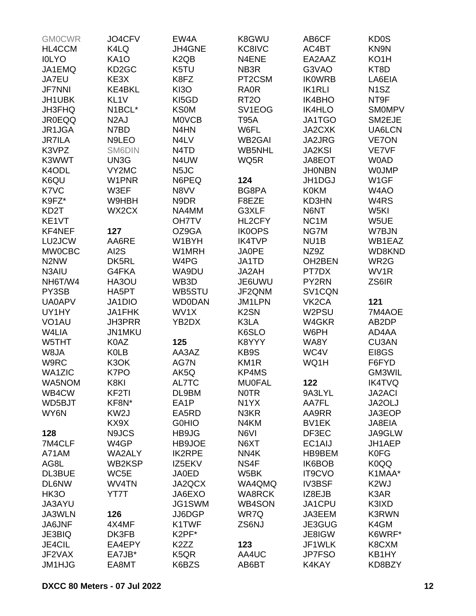| <b>GMOCWR</b>                 | JO4CFV             | EW4A                          | K8GWU             | AB6CF               | KD <sub>0</sub> S |
|-------------------------------|--------------------|-------------------------------|-------------------|---------------------|-------------------|
| HL4CCM                        | K4LQ               | JH4GNE                        | KC8IVC            | AC4BT               | KN9N              |
| <b>IOLYO</b>                  | <b>KA10</b>        | K <sub>2</sub> Q <sub>B</sub> | N4ENE             | EA2AAZ              | KO <sub>1</sub> H |
| JA1EMQ                        | KD <sub>2</sub> GC | K5TU                          | NB3R              | G3VAO               | KT8D              |
| JA7EU                         | KE3X               | K8FZ                          | PT2CSM            | <b>IKOWRB</b>       | LA6EIA            |
| <b>JF7NNI</b>                 | KE4BKL             | <b>KI3O</b>                   | <b>RA0R</b>       | <b>IK1RLI</b>       | N <sub>1</sub> SZ |
| JH1UBK                        | KL <sub>1V</sub>   | KI5GD                         | <b>RT20</b>       | <b>IK4BHO</b>       | NT9F              |
| <b>JH3FHQ</b>                 | N1BCL*             | <b>KS0M</b>                   | SV1EOG            | <b>IK4HLO</b>       | <b>SMOMPV</b>     |
| <b>JR0EQQ</b>                 | N <sub>2</sub> AJ  | <b>MOVCB</b>                  | <b>T95A</b>       | JA1TGO              | SM2EJE            |
| JR1JGA                        | N7BD               | N4HN                          | W6FL              | JA2CXK              | UA6LCN            |
| <b>JR7ILA</b>                 | N9LEO              | N4LV                          | <b>WB2GAI</b>     | JA2JRG              | <b>VE7ON</b>      |
| K3VPZ                         | SM6DIN             | N <sub>4</sub> T <sub>D</sub> | WB5NHL            | <b>JA2KSI</b>       | VE7VF             |
| K3WWT                         |                    | N4UW                          |                   |                     | <b>W0AD</b>       |
|                               | UN3G               |                               | WQ5R              | JA8EOT              |                   |
| K4ODL                         | VY2MC              | N <sub>5</sub> JC             |                   | <b>JHONBN</b>       | <b>WOJMP</b>      |
| K6QU                          | W1PNR              | N6PEQ                         | 124               | JH1DGJ              | W <sub>1</sub> GF |
| K7VC                          | W3EF               | N8VV                          | BG8PA             | <b>K0KM</b>         | W4AO              |
| K9FZ*                         | W9HBH              | N9DR                          | F8EZE             | KD3HN               | W <sub>4</sub> RS |
| KD <sub>2</sub> T             | WX2CX              | NA4MM                         | G3XLF             | N6NT                | W <sub>5KI</sub>  |
| KE1VT                         |                    | <b>OH7TV</b>                  | HL2CFY            | NC <sub>1</sub> M   | W5UE              |
| KF4NEF                        | 127                | OZ9GA                         | <b>IK0OPS</b>     | NG7M                | W7BJN             |
| LU2JCW                        | AA6RE              | W1BYH                         | <b>IK4TVP</b>     | NU <sub>1</sub> B   | WB1EAZ            |
| <b>MW0CBC</b>                 | AI2S               | W1MRH                         | <b>JA0PE</b>      | NZ9Z                | WD8KND            |
| N <sub>2</sub> N <sub>W</sub> | DK5RL              | W4PG                          | JA1TD             | OH2BEN              | WR2G              |
| N3AIU                         | G4FKA              | WA9DU                         | JA2AH             | PT7DX               | WV <sub>1</sub> R |
| NH6T/W4                       | HA3OU              | WB3D                          | JE6UWU            | PY2RN               | ZS6IR             |
| PY3SB                         | HA5PT              | WB5STU                        | JF2QNM            | SV1CQN              |                   |
| <b>UA0APV</b>                 | JA1DIO             | <b>WD0DAN</b>                 | JM1LPN            | VK <sub>2</sub> CA  | 121               |
| UY1HY                         | JA1FHK             | WV1X                          | K <sub>2</sub> SN | W2PSU               | 7M4AOE            |
| VO <sub>1</sub> AU            | <b>JH3PRR</b>      | YB2DX                         | K3LA              | W4GKR               | AB2DP             |
| W4LIA                         | JN1MKU             |                               | K6SLO             | W6PH                | AD4AA             |
| W5THT                         | K0AZ               | 125                           | K8YYY             | WA8Y                | CU3AN             |
| W8JA                          | <b>KOLB</b>        | AA3AZ                         | KB9S              | WC4V                | EI8GS             |
| W9RC                          | K3OK               | AG7N                          | KM <sub>1R</sub>  | WQ1H                | F6FYD             |
| WA1ZIC                        | K7PO               | AK5Q                          | KP4MS             |                     | GM3WIL            |
| WA5NOM                        | K8KI               | AL7TC                         | <b>MU0FAL</b>     | 122                 | <b>IK4TVQ</b>     |
| WB4CW                         | KF <sub>2</sub> TI | DL9BM                         | <b>NOTR</b>       | 9A3LYL              | <b>JA2ACI</b>     |
| WD5BJT                        | KF8N*              | EA1P                          | N <sub>1</sub> YX | AA7FL               | JA2OLJ            |
| WY6N                          | KW <sub>2</sub> J  | EA5RD                         | N3KR              | AA9RR               | JA3EOP            |
|                               | KX9X               | <b>GOHIO</b>                  | N4KM              | BV1EK               | JA8EIA            |
| 128                           | N9JCS              | HB9JG                         | N6VI              | DF3EC               | JA9GLW            |
| 7M4CLF                        | W <sub>4</sub> GP  | HB9JOE                        | N6XT              | EC <sub>1</sub> AIJ | JH1AEP            |
| A71AM                         | <b>WA2ALY</b>      | <b>IK2RPE</b>                 | NN4K              | HB9BEM              | <b>K0FG</b>       |
| AG8L                          | WB2KSP             | IZ5EKV                        | NS4F              | IK6BOB              | K0QQ              |
| DL3BUE                        | WC5E               | <b>JA0ED</b>                  | W <sub>5</sub> BK | IT9CVO              | K1MAA*            |
| <b>DL6NW</b>                  | WV4TN              | JA2QCX                        | WA4QMQ            | <b>IV3BSF</b>       | K <sub>2</sub> WJ |
|                               |                    |                               |                   |                     |                   |
| HK3O                          | YT7T               | JA6EXO                        | <b>WA8RCK</b>     | IZ8EJB              | K3AR              |
| JA3AYU                        |                    | JG1SWM                        | <b>WB4SON</b>     | JA1CPU              | K3IXD             |
| JA3WLN                        | 126                | JJ6DGP                        | WR7Q              | JA3EEM              | <b>K3RWN</b>      |
| JA6JNF                        | 4X4MF              | K1TWF                         | ZS6NJ             | JE3GUG              | K4GM              |
| JE3BIQ                        | DK3FB              | K2PF*                         |                   | JE8IGW              | K6WRF*            |
| JE4CIL                        | EA4EPY             | K2ZZ                          | 123               | JF1WLK              | K8CXM             |
| JF2VAX                        | EA7JB*             | K <sub>5</sub> QR             | AA4UC             | <b>JP7FSO</b>       | KB1HY             |
| JM1HJG                        | EA8MT              | K6BZS                         | AB6BT             | K4KAY               | KD8BZY            |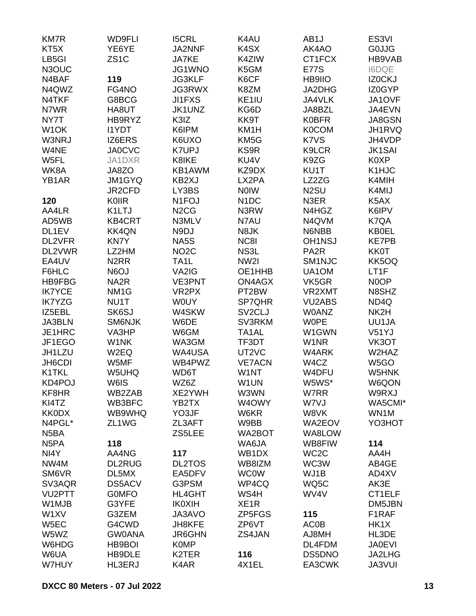| <b>KM7R</b>       | <b>WD9FLI</b>     | <b>I5CRL</b>                  | K4AU                | AB <sub>1</sub> J | ES <sub>3VI</sub> |
|-------------------|-------------------|-------------------------------|---------------------|-------------------|-------------------|
| KT5X              | YE6YE             | JA2NNF                        | K4SX                | AK4AO             | <b>GOJJG</b>      |
| LB5GI             | ZS <sub>1</sub> C | JA7KE                         | K4ZIW               | CT1FCX            | HB9VAB            |
| N3OUC             |                   | JG1WNO                        | K5GM                | <b>E77S</b>       | <b>I6DQE</b>      |
| N4BAF             | 119               | <b>JG3KLF</b>                 | K6CF                | HB9IIO            | IZ0CKJ            |
| N4QWZ             | FG4NO             | JG3RWX                        | K8ZM                | JA2DHG            | IZ0GYP            |
| N4TKF             | G8BCG             | <b>JI1FXS</b>                 | KE1IU               | JA4VLK            | JA1OVF            |
| N7WR              | HA8UT             | JK1UNZ                        | KG6D                | JA8BZL            | JA4EVN            |
| NY7T              | HB9RYZ            | K3IZ                          | KK9T                | <b>K0BFR</b>      | JA8GSN            |
| W <sub>1</sub> OK | <b>I1YDT</b>      | K6IPM                         | KM1H                | <b>K0COM</b>      | JH1RVQ            |
| W3NRJ             | IZ6ERS            | K6UXO                         | KM <sub>5</sub> G   | K7VS              | JH4VDP            |
| W4NE              | <b>JA0CVC</b>     | <b>K7UPJ</b>                  | KS9R                | K9LCR             | <b>JK1SAI</b>     |
| W5FL              | JA1DXR            | K8IKE                         | KU4V                | K9ZG              | K0XP              |
| WK8A              | JA8ZO             | KB1AWM                        | KZ9DX               | KU1T              | K1HJC             |
| YB1AR             | <b>JM1GYQ</b>     | KB2XJ                         | LX2PA               | LZ2ZG             | K4MIH             |
|                   | JR2CFD            | LY3BS                         | <b>NOIW</b>         | N <sub>2</sub> SU | K4MIJ             |
| 120               | KOIIR             | N <sub>1</sub> FOJ            | N <sub>1</sub> DC   | N3ER              | K5AX              |
| AA4LR             | K1LTJ             | N <sub>2</sub> C <sub>G</sub> | N3RW                | N4HGZ             | K6IPV             |
| AD5WB             | KB4CRT            | N3MLV                         | N7AU                | N4QVM             | K7QA              |
| DL1EV             | <b>KK4QN</b>      | N9DJ                          | N8JK                | N6NBB             | <b>KB0EL</b>      |
| DL2VFR            | <b>KN7Y</b>       | NA5S                          | NC8I                | <b>OH1NSJ</b>     | <b>KE7PB</b>      |
| DL2VWR            | LZ2HM             | NO <sub>2</sub> C             | NS3L                | PA <sub>2</sub> R | <b>KK0T</b>       |
| EA4UV             | N <sub>2</sub> RR | TA <sub>1</sub> L             | NW2I                | SM1NJC            | KK5OQ             |
| F6HLC             | N6OJ              | VA2IG                         | OE1HHB              | UA1OM             | LT <sub>1F</sub>  |
| HB9FBG            | NA <sub>2</sub> R | <b>VE3PNT</b>                 | <b>ON4AGX</b>       | VK5GR             | N0OP              |
| <b>IK7YCE</b>     | NM <sub>1G</sub>  | VR <sub>2</sub> PX            | PT2BW               | VR2XMT            | N8SHZ             |
| <b>IK7YZG</b>     | NU1T              | <b>WOUY</b>                   | SP7QHR              | <b>VU2ABS</b>     | ND4Q              |
| IZ5EBL            | SK6SJ             | W4SKW                         | SV <sub>2</sub> CLJ | <b>W0ANZ</b>      | NK2H              |
| JA3BLN            | <b>SM6NJK</b>     | W6DE                          | SV3RKM              | <b>WOPE</b>       | UU1JA             |
| JE1HRC            | VA3HP             | W6GM                          | TA <sub>1</sub> AL  | W1GWN             | V51YJ             |
| JF1EGO            | W1NK              | WA3GM                         | TF3DT               | W1NR              | VK3OT             |
| JH1LZU            | W <sub>2</sub> EQ | WA4USA                        | UT2VC               | W4ARK             | W2HAZ             |
| JH6CDI            | W5MF              | WB4PWZ                        | <b>VE7ACN</b>       | W4CZ              | W <sub>5</sub> GO |
| <b>K1TKL</b>      | W5UHQ             | WD6T                          | W1NT                | W4DFU             | W5HNK             |
| KD4POJ            | W6IS              | WZ6Z                          | W1UN                | W5WS*             | W6QON             |
| KF8HR             | WB2ZAB            | XE2YWH                        | W3WN                | W7RR              | W9RXJ             |
| KI4TZ             | WB3BFC            | YB2TX                         | W4OWY               | W7VJ              | WA5CMI*           |
| <b>KK0DX</b>      | WB9WHQ            | YO3JF                         | W6KR                | W8VK              | WN1M              |
| N4PGL*            | ZL1WG             | ZL3AFT                        | W9BB                | WA2EOV            | YO3HOT            |
| N <sub>5</sub> BA |                   | ZS5LEE                        | WA2BOT              | WA8LOW            |                   |
| N <sub>5</sub> PA | 118               |                               | WA6JA               | WB8FIW            | 114               |
| NI4Y              | AA4NG             | 117                           | WB1DX               | WC <sub>2</sub> C | AA4H              |
| NW4M              | <b>DL2RUG</b>     | <b>DL2TOS</b>                 | WB8IZM              | WC3W              | AB4GE             |
| SM6VR             | DL5MX             | EA5DFV                        | <b>WC0W</b>         | WJ1B              | AD4XV             |
| SV3AQR            | DS5ACV            | G3PSM                         | WP4CQ               | WQ5C              | AK3E              |
| VU2PTT            | <b>GOMFO</b>      | <b>HL4GHT</b>                 | WS4H                | WV4V              | CT1ELF            |
| W1MJB             | G3YFE             | <b>IK0XIH</b>                 | XE <sub>1</sub> R   |                   | DM5JBN            |
| W1XV              | G3ZEM             | JA3AVO                        | ZP5FGS              | 115               | F1RAF             |
|                   |                   |                               |                     |                   |                   |
| W5EC              | G4CWD             | JH8KFE                        | ZP6VT               | <b>AC0B</b>       | HK1X              |
| W5WZ              | <b>GW0ANA</b>     | JR6GHN                        | ZS4JAN              | AJ8MH             | HL3DE             |
| W6HDG             | HB9BOI            | <b>K0MP</b>                   |                     | DL4FDM            | <b>JA0EVI</b>     |
| W6UA              | HB9DLE            | K2TER                         | 116                 | DS5DNO            | JA2LHG            |
| W7HUY             | HL3ERJ            | K4AR                          | 4X1EL               | EA3CWK            | <b>JA3VUI</b>     |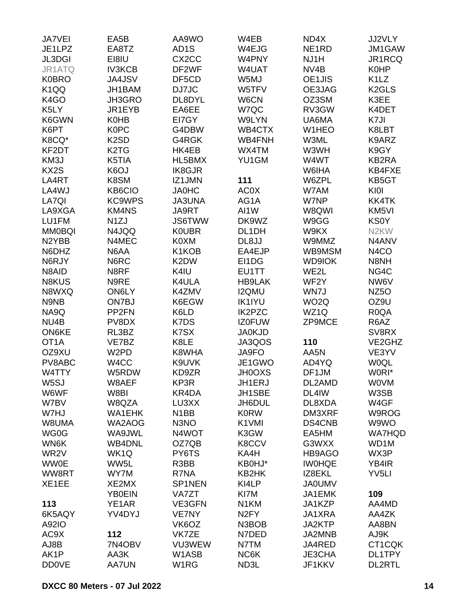| <b>JA7VEI</b>      | EA5B                          | AA9WO              | W4EB              | ND4X               | JJ2VLY                        |
|--------------------|-------------------------------|--------------------|-------------------|--------------------|-------------------------------|
| JE1LPZ             | EA8TZ                         | AD <sub>1</sub> S  | W4EJG             | NE <sub>1</sub> RD | JM1GAW                        |
| JL3DGI             | EI8IU                         | CX <sub>2</sub> CC | W4PNY             | NJ1H               | JR1RCQ                        |
| JR1ATQ             | <b>IV3KCB</b>                 | DF2WF              | W4UAT             | NV4B               | <b>K0HP</b>                   |
| <b>K0BRO</b>       | JA4JSV                        | DF5CD              | W5MJ              | OE1JIS             | K <sub>1</sub> L <sub>Z</sub> |
| K <sub>1</sub> QQ  | JH1BAM                        | DJ7JC              | W5TFV             | OE3JAG             | K <sub>2</sub> GLS            |
| K4GO               | JH3GRO                        | DL8DYL             | W6CN              | OZ3SM              | K3EE                          |
| K5LY               |                               | EA6EE              | W7QC              | RV3GW              |                               |
|                    | JR1EYB                        | EI7GY              |                   |                    | K4DET<br>K7JI                 |
| K6GWN              | <b>K0HB</b>                   |                    | W9LYN             | UA6MA              |                               |
| K6PT               | <b>K0PC</b>                   | G4DBW              | WB4CTX            | W1HEO              | K8LBT                         |
| K8CQ*              | K <sub>2</sub> SD             | G4RGK              | WB4FNH            | W3ML               | K9ARZ                         |
| KF2DT              | K <sub>2</sub> T <sub>G</sub> | HK4EB              | WX4TM             | W3WH               | K9GY                          |
| KM3J               | K5TIA                         | HL5BMX             | YU1GM             | W4WT               | KB2RA                         |
| KX2S               | K6OJ                          | IK8GJR             |                   | W6IHA              | KB4FXE                        |
| LA4RT              | K8SM                          | IZ1JMN             | 111               | W6ZPL              | KB5GT                         |
| LA4WJ              | KB6CIO                        | <b>JA0HC</b>       | <b>AC0X</b>       | W7AM               | KI0I                          |
| LA7QI              | <b>KC9WPS</b>                 | <b>JA3UNA</b>      | AG1A              | W7NP               | KK4TK                         |
| LA9XGA             | <b>KM4NS</b>                  | JA9RT              | AI1W              | W8QWI              | KM5VI                         |
| LU1FM              | N <sub>1</sub> ZJ             | <b>JS6TWW</b>      | DK9WZ             | W9GG               | <b>KS0Y</b>                   |
| <b>MM0BQI</b>      | N4JQQ                         | <b>K0UBR</b>       | DL1DH             | W9KX               | N <sub>2</sub> KW             |
| N <sub>2</sub> YBB | N4MEC                         | <b>K0XM</b>        | DL8JJ             | W9MMZ              | N4ANV                         |
| N6DHZ              | N6AA                          | K1KOB              | EA4EJP            | WB9MSM             | N4CO                          |
| N6RJY              | N6RC                          | K2DW               | EI1DG             | <b>WD9IOK</b>      | N8NH                          |
| N8AID              | N8RF                          | K4IU               | EU1TT             | WE2L               | NG4C                          |
| N8KUS              | N9RE                          | K4ULA              | <b>HB9LAK</b>     | WF2Y               | NW6V                          |
| N8WXQ              | ON6LY                         | K4ZMV              | <b>I2QMU</b>      | WN7J               | NZ <sub>50</sub>              |
| N9NB               | ON7BJ                         | K6EGW              | <b>IK1IYU</b>     | WO <sub>2</sub> Q  | OZ9U                          |
| NA9Q               | PP <sub>2FN</sub>             | K6LD               | <b>IK2PZC</b>     | WZ1Q               | R <sub>0</sub> QA             |
| NU4B               | PV8DX                         |                    | <b>IZ0FUW</b>     | <b>ZP9MCE</b>      | R6AZ                          |
|                    |                               | K7DS               |                   |                    |                               |
| ON6KE              | RL3BZ                         | K7SX               | <b>JA0KJD</b>     |                    | SV8RX                         |
| OT <sub>1</sub> A  | VE7BZ                         | K8LE               | JA3QOS            | 110                | VE2GHZ                        |
| OZ9XU              | W <sub>2</sub> PD             | K8WHA              | JA9FO             | AA5N               | VE3YV                         |
| PV8ABC             | W4CC                          | K9UVK              | JE1GWO            | AD4YQ              | <b>WOQL</b>                   |
| W4TTY              | W5RDW                         | KD9ZR              | <b>JH0OXS</b>     | DF1JM              | W0RI*                         |
| W5SJ               | W8AEF                         | KP3R               | JH1ERJ            | DL2AMD             | <b>WOVM</b>                   |
| W6WF               | W8BI                          | KR4DA              | JH1SBE            | DL4IW              | W3SB                          |
| W7BV               | W8QZA                         | LU3XX              | JH6DUL            | DL8XDA             | W4GF                          |
| W7HJ               | <b>WA1EHK</b>                 | N <sub>1</sub> BB  | <b>K0RW</b>       | DM3XRF             | W9ROG                         |
| W8UMA              | WA2AOG                        | N <sub>3</sub> NO  | K1VMI             | DS4CNB             | W9WO                          |
| WG0G               | WA9JWL                        | N4WOT              | K3GW              | EA5HM              | <b>WA7HQD</b>                 |
| WN6K               | <b>WB4DNL</b>                 | OZ7QB              | K8CCV             | G3WXX              | WD1M                          |
| WR2V               | WK1Q                          | PY6TS              | KA4H              | HB9AGO             | WX3P                          |
| <b>WW0E</b>        | WW5L                          | R3BB               | KB0HJ*            | <b>IWOHQE</b>      | YB4IR                         |
| WW8RT              | WY7M                          | R7NA               | KB2HK             | IZ8EKL             | YV <sub>5LI</sub>             |
| XE1EE              | XE2MX                         | SP1NEN             | KI4LP             | <b>JA0UMV</b>      |                               |
|                    | <b>YB0EIN</b>                 | VA7ZT              | KI7M              | JA1EMK             | 109                           |
| 113                | YE1AR                         | VE3GFN             | N1KM              | JA1KZP             | AA4MD                         |
| 6K5AQY             | YV4DYJ                        | VE7NY              | N <sub>2</sub> FY | JA1XRA             | AA4ZK                         |
| A92IO              |                               | VK6OZ              | N3BOB             | JA2KTP             | AA8BN                         |
| AC9X               | 112                           | VK7ZE              | N7DED             | JA2MNB             | AJ9K                          |
| AJ8B               | 7N4OBV                        | VU3WEW             | N7TM              | JA4RED             | CT1CQK                        |
|                    |                               |                    |                   |                    |                               |
| AK1P               | AA3K                          | W1ASB              | NC6K              | <b>JE3CHA</b>      | DL1TPY                        |
| <b>DD0VE</b>       | <b>AA7UN</b>                  | W <sub>1</sub> RG  | ND3L              | JF1KKV             | <b>DL2RTL</b>                 |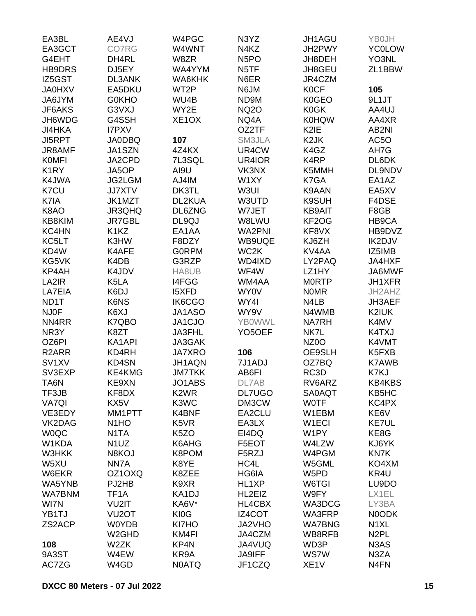| EA3BL              | AE4VJ                         | W4PGC                         | N3YZ                | JH1AGU             | YB0JH             |
|--------------------|-------------------------------|-------------------------------|---------------------|--------------------|-------------------|
| EA3GCT             | <b>CO7RG</b>                  | W4WNT                         | N <sub>4</sub> KZ   | JH2PWY             | <b>YC0LOW</b>     |
| G4EHT              | DH4RL                         | W8ZR                          | N <sub>5</sub> PO   | JH8DEH             | YO3NL             |
| <b>HB9DRS</b>      | DJ5EY                         | WA4YYM                        | N <sub>5</sub> TF   | JH8GEU             | ZL1BBW            |
| IZ5GST             | <b>DL3ANK</b>                 | WA6KHK                        | N6ER                | JR4CZM             |                   |
| <b>JA0HXV</b>      | EA5DKU                        | WT2P                          | N6JM                | <b>K0CF</b>        | 105               |
| JA6JYM             | <b>G0KHO</b>                  | WU4B                          | ND9M                | K0GEO              | 9L1JT             |
|                    | G3VXJ                         | WY2E                          |                     |                    |                   |
| JF6AKS             |                               |                               | <b>NQ2O</b>         | <b>K0GK</b>        | AA4UJ             |
| JH6WDG             | G4SSH                         | XE <sub>1</sub> OX            | NQ4A                | <b>K0HQW</b>       | AA4XR             |
| <b>JI4HKA</b>      | <b>I7PXV</b>                  |                               | OZ2TF               | K2IE               | AB <sub>2NI</sub> |
| <b>JI5RPT</b>      | <b>JA0DBQ</b>                 | 107                           | SM3JLA              | K <sub>2</sub> JK  | AC5O              |
| JR8AMF             | JA1SZN                        | 4Z4KX                         | UR4CW               | K4GZ               | AH7G              |
| <b>KOMFI</b>       | JA2CPD                        | 7L3SQL                        | UR4IOR              | K4RP               | DL6DK             |
| K <sub>1</sub> RY  | JA5OP                         | AI9U                          | VK3NX               | K5MMH              | DL9NDV            |
| K4JWA              | <b>JG2LGM</b>                 | AJ4IM                         | W1XY                | K7GA               | EA1AZ             |
| K7CU               | <b>JJ7XTV</b>                 | DK3TL                         | W3UI                | K9AAN              | EA5XV             |
| K7IA               | JK1MZT                        | DL2KUA                        | W3UTD               | K9SUH              | F4DSE             |
| K8AO               | JR3QHQ                        | DL6ZNG                        | W7JET               | <b>KB9AIT</b>      | F8GB              |
| KB8KIM             | <b>JR7GBL</b>                 | DL9QJ                         | W8LWU               | KF2OG              | HB9CA             |
| KC4HN              | K <sub>1</sub> K <sub>Z</sub> | EA1AA                         | <b>WA2PNI</b>       | KF8VX              | HB9DVZ            |
| KC5LT              | K3HW                          | F8DZY                         | WB9UQE              | KJ6ZH              | IK2DJV            |
| KD4W               | K4AFE                         | <b>GORPM</b>                  | WC <sub>2</sub> K   | KV <sub>4</sub> AA | IZ5IMB            |
| KG5VK              | K4DB                          | G3RZP                         | WD4IXD              | LY2PAQ             | JA4HXF            |
| KP4AH              | K4JDV                         | HA8UB                         | WF4W                | LZ1HY              | JA6MWF            |
| LA2IR              | K5LA                          | I4FGG                         | WM4AA               | <b>MORTP</b>       | <b>JH1XFR</b>     |
| LA7EIA             | K6DJ                          | <b>I5XFD</b>                  | WY0V                | <b>NOMR</b>        | JH2AHZ            |
| ND1T               | K6NS                          | IK6CGO                        | WY4I                | N4LB               | JH3AEF            |
| <b>NJ0F</b>        | K6XJ                          | JA1ASO                        | WY9V                | N4WMB              | K2IUK             |
| NN4RR              |                               |                               | <b>YB0WWL</b>       | <b>NA7RH</b>       |                   |
|                    | K7QBO                         | JA1CJO                        |                     |                    | K4MV              |
| NR3Y               | K8ZT                          | JA3FHL                        | YO <sub>5</sub> OEF | NK7L               | K4TXJ             |
| OZ6PI              | KA1API                        | JA3GAK                        |                     | NZ <sub>0</sub> O  | K4VMT             |
| R <sub>2</sub> ARR | KD4RH                         | <b>JA7XRO</b>                 | 106                 | OE9SLH             | K5FXB             |
| SV1XV              | KD4SN                         | JH1AQN                        | 7J1ADJ              | OZ7BQ              | <b>K7AWB</b>      |
| SV3EXP             | <b>KE4KMG</b>                 | <b>JM7TKK</b>                 | AB6FI               | RC3D               | K7KJ              |
| TA6N               | KE9XN                         | JO1ABS                        | DL7AB               | RV6ARZ             | KB4KBS            |
| TF3JB              | KF8DX                         | K <sub>2</sub> W <sub>R</sub> | <b>DL7UGO</b>       | <b>SA0AQT</b>      | KB5HC             |
| <b>VA7QI</b>       | KX5V                          | K3WC                          | DM3CW               | <b>WOTF</b>        | KC4PX             |
| VE3EDY             | MM1PTT                        | K4BNF                         | EA2CLU              | W1EBM              | KE6V              |
| VK2DAG             | N <sub>1</sub> H <sub>O</sub> | K <sub>5</sub> V <sub>R</sub> | EA3LX               | W <sub>1</sub> ECI | KE7UL             |
| <b>WOQC</b>        | N <sub>1</sub> TA             | K <sub>5</sub> ZO             | EI4DQ               | W1PY               | KE8G              |
| W1KDA              | N <sub>1</sub> UZ             | K6AHG                         | F5EOT               | W4LZW              | KJ6YK             |
| W3HKK              | N8KOJ                         | K8POM                         | F5RZJ               | W4PGM              | <b>KN7K</b>       |
| W5XU               | NN7A                          | K8YE                          | HC4L                | W5GML              | KO4XM             |
| W6EKR              | OZ1OXQ                        | K8ZEE                         | HG6IA               | W5PD               | KR4U              |
| WA5YNB             | PJ2HB                         | K9XR                          | HL1XP               | W6TGI              | LU9DO             |
| <b>WA7BNM</b>      | TF <sub>1</sub> A             | KA1DJ                         | HL2EIZ              | W9FY               | LX1EL             |
| WI7N               | VU2IT                         | KA6V*                         | <b>HL4CBX</b>       | WA3DCG             | LY3BA             |
| YB1TJ              | VU <sub>2</sub> OT            | KI0G                          | IZ4COT              | WA3FRP             | N0ODK             |
| ZS2ACP             | <b>W0YDB</b>                  | KI7HO                         | JA2VHO              | <b>WA7BNG</b>      | N <sub>1</sub> XL |
|                    | W <sub>2</sub> GHD            | KM4FI                         | JA4CZM              | WB8RFB             | N <sub>2</sub> PL |
| 108                | W2ZK                          | KP4N                          | JA4VUQ              | WD3P               | N3AS              |
| 9A3ST              | W4EW                          | KR9A                          | <b>JA9IFF</b>       | WS7W               | N3ZA              |
| AC7ZG              | W4GD                          | <b>N0ATQ</b>                  | JF1CZQ              | XE <sub>1</sub> V  | N <sub>4FN</sub>  |
|                    |                               |                               |                     |                    |                   |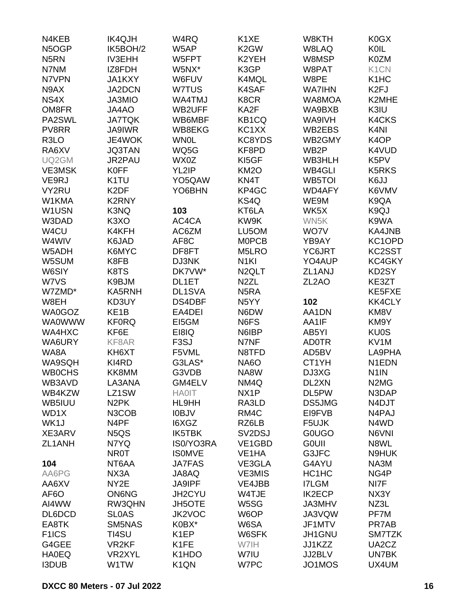| N4KEB              | <b>IK4QJH</b>                 | W4RQ              | K <sub>1</sub> XE   | W8KTH              | K0GX                          |
|--------------------|-------------------------------|-------------------|---------------------|--------------------|-------------------------------|
| N5OGP              | IK5BOH/2                      | W5AP              | K <sub>2</sub> GW   | W8LAQ              | KOIL                          |
| N <sub>5</sub> RN  | <b>IV3EHH</b>                 | W5FPT             | K2YEH               | W8MSP              | <b>K0ZM</b>                   |
| N7NM               | IZ8FDH                        | W5NX*             | K3GP                | W8PAT              | K <sub>1</sub> C <sub>N</sub> |
| N7VPN              | JA1KXY                        | W6FUV             | K4MQL               | W8PE               | K <sub>1</sub> H <sub>C</sub> |
| N9AX               | JA2DCN                        | W7TUS             | K4SAF               | <b>WA7IHN</b>      | K <sub>2FJ</sub>              |
| NS4X               | JA3MIO                        | WA4TMJ            | K8CR                | WA8MOA             | K2MHE                         |
| OM8FR              | JA4AO                         | WB2UFF            | KA2F                | WA9BXB             | K3IU                          |
| PA2SWL             | <b>JA7TQK</b>                 | WB6MBF            | KB1CQ               | WA9IVH             | K4CKS                         |
| PV8RR              | <b>JA9IWR</b>                 | WB8EKG            | KC1XX               | WB2EBS             | K <sub>4N</sub>               |
| R <sub>3</sub> LO  | JE4WOK                        | <b>WN0L</b>       | KC8YDS              | WB2GMY             | K <sub>4</sub> OP             |
| RA6XV              | <b>JQ3TAN</b>                 | WQ5G              | KF8PD               | WB <sub>2</sub> P  | K4VUD                         |
| UQ2GM              | JR2PAU                        | WX0Z              | KI5GF               | WB3HLH             | K5PV                          |
| <b>VE3MSK</b>      | <b>K0FF</b>                   | YL2IP             | <b>KM2O</b>         | WB4GLI             | <b>K5RKS</b>                  |
| VE9RJ              | K <sub>1</sub> TU             | YO5QAW            | KN4T                | WB5TOI             | K6JJ                          |
| VY2RU              | K <sub>2</sub> DF             | YO6BHN            | KP4GC               | WD4AFY             | K6VMV                         |
| W1KMA              | K2RNY                         |                   | KS4Q                | WE9M               | K9QA                          |
| W1USN              | K3NQ                          | 103               | KT6LA               | WK5X               | K9QJ                          |
| W3DAD              | K <sub>3</sub> XO             | AC4CA             | KW9K                | WN5K               | K9WA                          |
| W4CU               | K4KFH                         | AC6ZM             | LU5OM               | WO7V               | <b>KA4JNB</b>                 |
| W4WIV              | K6JAD                         | AF8C              | <b>MOPCB</b>        | YB9AY              | KC1OPD                        |
| W5ADH              | K6MYC                         | DF8FT             | M5LRO               | YC6JRT             | KC2SST                        |
| W5SUM              | K8FB                          | DJ3NK             | N <sub>1KI</sub>    | YO4AUP             | KC4GKY                        |
| W6SIY              | K8TS                          | DK7VW*            | N <sub>2</sub> QLT  | ZL1ANJ             | KD2SY                         |
| W7VS               | K9BJM                         | DL1ET             | N <sub>2</sub> ZL   | ZL <sub>2</sub> AO | KE3ZT                         |
| W7ZMD*             | KA5RNH                        | DL1SVA            | N <sub>5</sub> RA   |                    | KE5FXE                        |
| W8EH               | KD3UY                         | DS4DBF            | N <sub>5</sub> YY   | 102                | <b>KK4CLY</b>                 |
| WA0GOZ             | KE <sub>1</sub> B             | EA4DEI            | N6DW                | AA1DN              | KM8V                          |
| <b>WA0WWW</b>      | <b>KF0RQ</b>                  | EI5GM             | N6FS                | AA1IF              | KM9Y                          |
| WA4HXC             | KF6E                          | EI8IQ             | N6IBP               | AB5YI              | <b>KU0S</b>                   |
| WA6URY             | KF8AR                         | F <sub>3</sub> SJ | N7NF                | <b>AD0TR</b>       | KV <sub>1</sub> M             |
| WA8A               | KH6XT                         | F5VML             | N8TFD               | AD5BV              | LA9PHA                        |
| WA9SQH             | KI4RD                         | G3LAS*            | <b>NA6O</b>         | CT1YH              | N <sub>1</sub> EDN            |
| <b>WBOCHS</b>      | KK8MM                         | G3VDB             | NA8W                | DJ3XG              | N <sub>1</sub> IN             |
| WB3AVD             | LA3ANA                        | GM4ELV            | NM4Q                | DL2XN              | N <sub>2</sub> M <sub>G</sub> |
| WB4KZW             | LZ1SW                         | <b>HA0IT</b>      | NX <sub>1</sub> P   | DL5PW              | N3DAP                         |
| WB5IUU             | N <sub>2</sub> PK             | HL9HH             | RA3LD               | DS5JMG             | N4DJT                         |
| WD1X               | N3COB                         | <b>IOBJV</b>      | RM4C                | EI9FVB             | N4PAJ                         |
| WK1J               | N <sub>4</sub> PF             | I6XGZ             | RZ6LB               | F5UJK              | N4WD                          |
| XE3ARV             | N <sub>5</sub> Q <sub>S</sub> | <b>IK5TBK</b>     | SV <sub>2</sub> DSJ | <b>GOUGO</b>       | N6VNI                         |
| ZL1ANH             | N7YQ                          | IS0/YO3RA         | VE1GBD              | <b>GOUII</b>       | N8WL                          |
|                    | <b>NR0T</b>                   | <b>ISOMVE</b>     | VE <sub>1</sub> HA  | G3JFC              | N9HUK                         |
| 104                | NT6AA                         | <b>JA7FAS</b>     | VE3GLA              | G4AYU              | NA3M                          |
| AA6PG              | NX3A                          | JA8AQ             | <b>VE3MIS</b>       | HC1HC              | NG4P                          |
| AA6XV              | NY2E                          | <b>JA9IPF</b>     | VE4JBB              | <b>I7LGM</b>       | NI7F                          |
| AF <sub>6</sub> O  | <b>ON6NG</b>                  | JH2CYU            | W4TJE               | <b>IK2ECP</b>      | NX3Y                          |
| AI4WW              | RW3QHN                        | <b>JH5OTE</b>     | W5SG                | JA3MHV             | NZ3L                          |
| DL6DCD             | <b>SLOAS</b>                  | <b>JK2VOC</b>     | W6OP                | JA3VQW             | PF7M                          |
| EA8TK              | SM5NAS                        | K0BX*             | W6SA                | JF1MTV             | PR7AB                         |
| F <sub>1</sub> ICS | TI4SU                         | K <sub>1</sub> EP | W6SFK               | JH1GNU             | SM7TZK                        |
| G4GEE              | VR <sub>2KF</sub>             | K1FE              | W7IH                | JJ1KZZ             | UA2CZ                         |
| <b>HA0EQ</b>       | VR2XYL                        | K1HDO             | W7IU                | JJ2BLV             | UN7BK                         |
| <b>I3DUB</b>       | W1TW                          | K <sub>1</sub> QN | W7PC                | JO1MOS             | UX4UM                         |